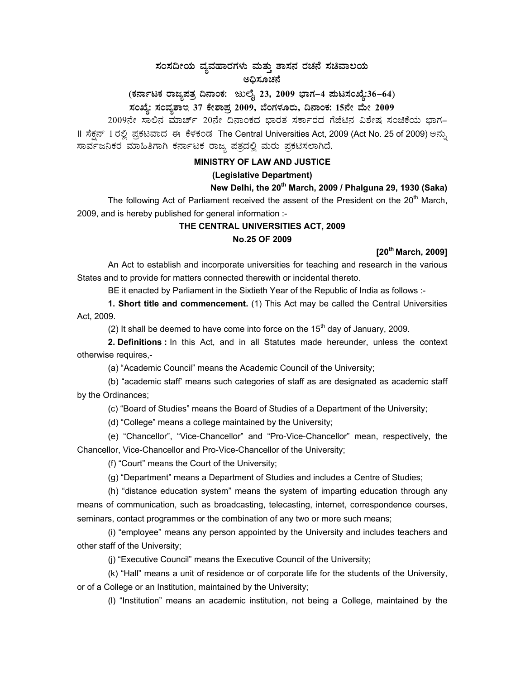# ಸಂಸದೀಯ ವ್ಯವಹಾರಗಳು ಮತ್ತು ಶಾಸನ ರಚನೆ ಸಚಿವಾಲಯ ಅಧಿಸೂಚನೆ

(ಕರ್ನಾಟಕ ರಾಜ್ಯಪತ್ರ ದಿನಾಂಕ: ಜುಲೈ 23, 2009 ಭಾಗ–4 **ಮಟಸಂಖ್ಯೆ:36–64**) **¸ÀASÉå: ¸ÀAªÀå±ÁE 37 PÉñÁ¥Àæ 2009, ¨ÉAUÀ¼ÀÆgÀÄ, ¢£ÁAPÀ: 15£Éà ªÉÄà 2009** 

2009ನೇ ಸಾಲಿನ ಮಾರ್ಚ್ 20ನೇ ದಿನಾಂಕದ ಭಾರತ ಸರ್ಕಾರದ ಗೆಜೆಟಿನ ವಿಶೇಷ ಸಂಚಿಕೆಯ ಭಾಗ– II ಸೆಕ್ಷನ್ 1 ರಲ್ಲಿ ಪ್ರಕಟವಾದ ಈ ಕೆಳಕಂಡ The Central Universities Act, 2009 (Act No. 25 of 2009) ಅನ್ಸು ಸಾರ್ವಜನಿಕರ ಮಾಹಿತಿಗಾಗಿ ಕರ್ನಾಟಕ ರಾಜ್ಯ ಪತ್ರದಲ್ಲಿ ಮರು ಪ್ರಕಟಿಸಲಾಗಿದೆ.

### **MINISTRY OF LAW AND JUSTICE**

### **(Legislative Department)**

## **New Delhi, the 20th March, 2009 / Phalguna 29, 1930 (Saka)**

The following Act of Parliament received the assent of the President on the 20<sup>th</sup> March, 2009, and is hereby published for general information :-

### **THE CENTRAL UNIVERSITIES ACT, 2009 No.25 OF 2009**

**[20th March, 2009]** 

An Act to establish and incorporate universities for teaching and research in the various States and to provide for matters connected therewith or incidental thereto.

BE it enacted by Parliament in the Sixtieth Year of the Republic of India as follows :-

**1. Short title and commencement.** (1) This Act may be called the Central Universities Act, 2009.

(2) It shall be deemed to have come into force on the  $15<sup>th</sup>$  day of January, 2009.

**2. Definitions :** In this Act, and in all Statutes made hereunder, unless the context otherwise requires,-

(a) "Academic Council" means the Academic Council of the University;

(b) "academic staff' means such categories of staff as are designated as academic staff by the Ordinances;

(c) "Board of Studies" means the Board of Studies of a Department of the University;

(d) "College" means a college maintained by the University;

(e) "Chancellor", "Vice-Chancellor" and "Pro-Vice-Chancellor" mean, respectively, the Chancellor, Vice-Chancellor and Pro-Vice-Chancellor of the University;

(f) "Court" means the Court of the University;

(g) "Department" means a Department of Studies and includes a Centre of Studies;

(h) "distance education system" means the system of imparting education through any means of communication, such as broadcasting, telecasting, internet, correspondence courses, seminars, contact programmes or the combination of any two or more such means;

(i) "employee" means any person appointed by the University and includes teachers and other staff of the University;

(j) "Executive Council" means the Executive Council of the University;

(k) "Hall" means a unit of residence or of corporate life for the students of the University, or of a College or an Institution, maintained by the University;

(l) "Institution" means an academic institution, not being a College, maintained by the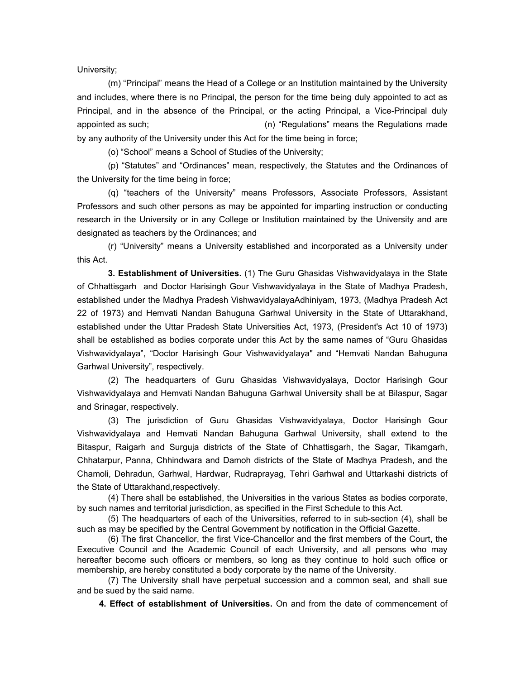University;

(m) "Principal" means the Head of a College or an Institution maintained by the University and includes, where there is no Principal, the person for the time being duly appointed to act as Principal, and in the absence of the Principal, or the acting Principal, a Vice-Principal duly appointed as such; (n) "Regulations" means the Regulations made by any authority of the University under this Act for the time being in force;

(o) "School" means a School of Studies of the University;

(p) "Statutes" and "Ordinances" mean, respectively, the Statutes and the Ordinances of the University for the time being in force;

(q) "teachers of the University" means Professors, Associate Professors, Assistant Professors and such other persons as may be appointed for imparting instruction or conducting research in the University or in any College or Institution maintained by the University and are designated as teachers by the Ordinances; and

(r) "University" means a University established and incorporated as a University under this Act.

 **3. Establishment of Universities.** (1) The Guru Ghasidas Vishwavidyalaya in the State of Chhattisgarh and Doctor Harisingh Gour Vishwavidyalaya in the State of Madhya Pradesh, established under the Madhya Pradesh VishwavidyalayaAdhiniyam, 1973, (Madhya Pradesh Act 22 of 1973) and Hemvati Nandan Bahuguna Garhwal University in the State of Uttarakhand, established under the Uttar Pradesh State Universities Act, 1973, (President's Act 10 of 1973) shall be established as bodies corporate under this Act by the same names of "Guru Ghasidas Vishwavidyalaya", "Doctor Harisingh Gour Vishwavidyalaya" and "Hemvati Nandan Bahuguna Garhwal University", respectively.

(2) The headquarters of Guru Ghasidas Vishwavidyalaya, Doctor Harisingh Gour Vishwavidyalaya and Hemvati Nandan Bahuguna Garhwal University shall be at Bilaspur, Sagar and Srinagar, respectively.

(3) The jurisdiction of Guru Ghasidas Vishwavidyalaya, Doctor Harisingh Gour Vishwavidyalaya and Hemvati Nandan Bahuguna Garhwal University, shall extend to the Bitaspur, Raigarh and Surguja districts of the State of Chhattisgarh, the Sagar, Tikamgarh, Chhatarpur, Panna, Chhindwara and Damoh districts of the State of Madhya Pradesh, and the Chamoli, Dehradun, Garhwal, Hardwar, Rudraprayag, Tehri Garhwal and Uttarkashi districts of the State of Uttarakhand,respectively.

(4) There shall be established, the Universities in the various States as bodies corporate, by such names and territorial jurisdiction, as specified in the First Schedule to this Act.

(5) The headquarters of each of the Universities, referred to in sub-section (4), shall be such as may be specified by the Central Government by notification in the Official Gazette.

(6) The first Chancellor, the first Vice-Chancellor and the first members of the Court, the Executive Council and the Academic Council of each University, and all persons who may hereafter become such officers or members, so long as they continue to hold such office or membership, are hereby constituted a body corporate by the name of the University.

(7) The University shall have perpetual succession and a common seal, and shall sue and be sued by the said name.

 **4. Effect of establishment of Universities.** On and from the date of commencement of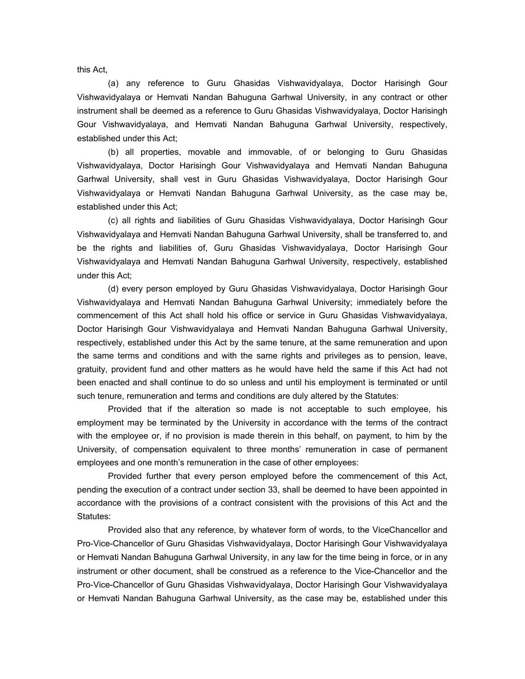this Act,

(a) any reference to Guru Ghasidas Vishwavidyalaya, Doctor Harisingh Gour Vishwavidyalaya or Hemvati Nandan Bahuguna Garhwal University, in any contract or other instrument shall be deemed as a reference to Guru Ghasidas Vishwavidyalaya, Doctor Harisingh Gour Vishwavidyalaya, and Hemvati Nandan Bahuguna Garhwal University, respectively, established under this Act;

(b) all properties, movable and immovable, of or belonging to Guru Ghasidas Vishwavidyalaya, Doctor Harisingh Gour Vishwavidyalaya and Hemvati Nandan Bahuguna Garhwal University, shall vest in Guru Ghasidas Vishwavidyalaya, Doctor Harisingh Gour Vishwavidyalaya or Hemvati Nandan Bahuguna Garhwal University, as the case may be, established under this Act;

(c) all rights and liabilities of Guru Ghasidas Vishwavidyalaya, Doctor Harisingh Gour Vishwavidyalaya and Hemvati Nandan Bahuguna Garhwal University, shall be transferred to, and be the rights and liabilities of, Guru Ghasidas Vishwavidyalaya, Doctor Harisingh Gour Vishwavidyalaya and Hemvati Nandan Bahuguna Garhwal University, respectively, established under this Act;

(d) every person employed by Guru Ghasidas Vishwavidyalaya, Doctor Harisingh Gour Vishwavidyalaya and Hemvati Nandan Bahuguna Garhwal University; immediately before the commencement of this Act shall hold his office or service in Guru Ghasidas Vishwavidyalaya, Doctor Harisingh Gour Vishwavidyalaya and Hemvati Nandan Bahuguna Garhwal University, respectively, established under this Act by the same tenure, at the same remuneration and upon the same terms and conditions and with the same rights and privileges as to pension, leave, gratuity, provident fund and other matters as he would have held the same if this Act had not been enacted and shall continue to do so unless and until his employment is terminated or until such tenure, remuneration and terms and conditions are duly altered by the Statutes:

Provided that if the alteration so made is not acceptable to such employee, his employment may be terminated by the University in accordance with the terms of the contract with the employee or, if no provision is made therein in this behalf, on payment, to him by the University, of compensation equivalent to three months' remuneration in case of permanent employees and one month's remuneration in the case of other employees:

Provided further that every person employed before the commencement of this Act, pending the execution of a contract under section 33, shall be deemed to have been appointed in accordance with the provisions of a contract consistent with the provisions of this Act and the Statutes:

Provided also that any reference, by whatever form of words, to the ViceChancellor and Pro-Vice-Chancellor of Guru Ghasidas Vishwavidyalaya, Doctor Harisingh Gour Vishwavidyalaya or Hemvati Nandan Bahuguna Garhwal University, in any law for the time being in force, or in any instrument or other document, shall be construed as a reference to the Vice-Chancellor and the Pro-Vice-Chancellor of Guru Ghasidas Vishwavidyalaya, Doctor Harisingh Gour Vishwavidyalaya or Hemvati Nandan Bahuguna Garhwal University, as the case may be, established under this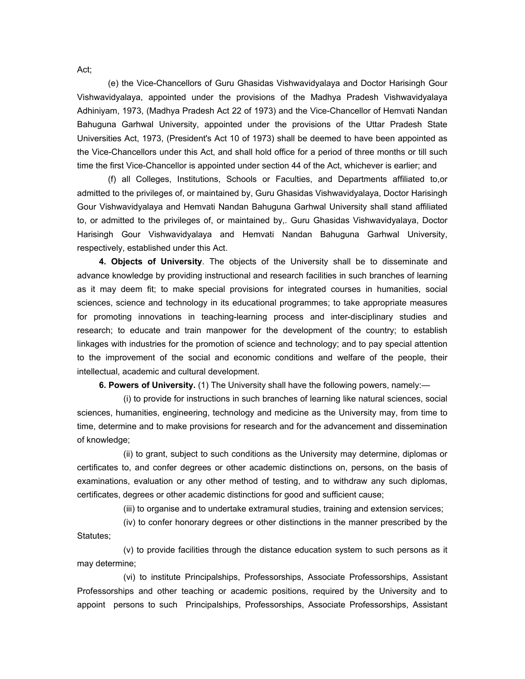(e) the Vice-Chancellors of Guru Ghasidas Vishwavidyalaya and Doctor Harisingh Gour Vishwavidyalaya, appointed under the provisions of the Madhya Pradesh Vishwavidyalaya Adhiniyam, 1973, (Madhya Pradesh Act 22 of 1973) and the Vice-Chancellor of Hemvati Nandan Bahuguna Garhwal University, appointed under the provisions of the Uttar Pradesh State Universities Act, 1973, (President's Act 10 of 1973) shall be deemed to have been appointed as the Vice-Chancellors under this Act, and shall hold office for a period of three months or till such time the first Vice-Chancellor is appointed under section 44 of the Act, whichever is earlier; and

(f) all Colleges, Institutions, Schools or Faculties, and Departments affiliated to,or admitted to the privileges of, or maintained by, Guru Ghasidas Vishwavidyalaya, Doctor Harisingh Gour Vishwavidyalaya and Hemvati Nandan Bahuguna Garhwal University shall stand affiliated to, or admitted to the privileges of, or maintained by,. Guru Ghasidas Vishwavidyalaya, Doctor Harisingh Gour Vishwavidyalaya and Hemvati Nandan Bahuguna Garhwal University, respectively, established under this Act.

 **4. Objects of University**. The objects of the University shall be to disseminate and advance knowledge by providing instructional and research facilities in such branches of learning as it may deem fit; to make special provisions for integrated courses in humanities, social sciences, science and technology in its educational programmes; to take appropriate measures for promoting innovations in teaching-learning process and inter-disciplinary studies and research; to educate and train manpower for the development of the country; to establish linkages with industries for the promotion of science and technology; and to pay special attention to the improvement of the social and economic conditions and welfare of the people, their intellectual, academic and cultural development.

**6. Powers of University.** (1) The University shall have the following powers, namely:—

(i) to provide for instructions in such branches of learning like natural sciences, social sciences, humanities, engineering, technology and medicine as the University may, from time to time, determine and to make provisions for research and for the advancement and dissemination of knowledge;

(ii) to grant, subject to such conditions as the University may determine, diplomas or certificates to, and confer degrees or other academic distinctions on, persons, on the basis of examinations, evaluation or any other method of testing, and to withdraw any such diplomas, certificates, degrees or other academic distinctions for good and sufficient cause;

(iii) to organise and to undertake extramural studies, training and extension services;

(iv) to confer honorary degrees or other distinctions in the manner prescribed by the Statutes:

(v) to provide facilities through the distance education system to such persons as it may determine;

(vi) to institute Principalships, Professorships, Associate Professorships, Assistant Professorships and other teaching or academic positions, required by the University and to appoint persons to such Principalships, Professorships, Associate Professorships, Assistant

Act;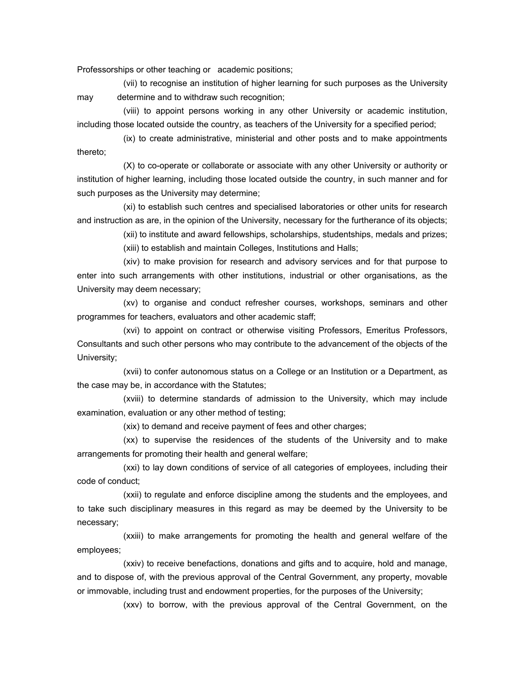Professorships or other teaching or academic positions;

(vii) to recognise an institution of higher learning for such purposes as the University may determine and to withdraw such recognition;

(viii) to appoint persons working in any other University or academic institution, including those located outside the country, as teachers of the University for a specified period;

(ix) to create administrative, ministerial and other posts and to make appointments thereto;

(X) to co-operate or collaborate or associate with any other University or authority or institution of higher learning, including those located outside the country, in such manner and for such purposes as the University may determine;

(xi) to establish such centres and specialised laboratories or other units for research and instruction as are, in the opinion of the University, necessary for the furtherance of its objects;

(xii) to institute and award fellowships, scholarships, studentships, medals and prizes;

(xiii) to establish and maintain Colleges, Institutions and Halls;

(xiv) to make provision for research and advisory services and for that purpose to enter into such arrangements with other institutions, industrial or other organisations, as the University may deem necessary;

(xv) to organise and conduct refresher courses, workshops, seminars and other programmes for teachers, evaluators and other academic staff;

(xvi) to appoint on contract or otherwise visiting Professors, Emeritus Professors, Consultants and such other persons who may contribute to the advancement of the objects of the University;

(xvii) to confer autonomous status on a College or an Institution or a Department, as the case may be, in accordance with the Statutes;

(xviii) to determine standards of admission to the University, which may include examination, evaluation or any other method of testing;

(xix) to demand and receive payment of fees and other charges;

(xx) to supervise the residences of the students of the University and to make arrangements for promoting their health and general welfare;

(xxi) to lay down conditions of service of all categories of employees, including their code of conduct;

(xxii) to regulate and enforce discipline among the students and the employees, and to take such disciplinary measures in this regard as may be deemed by the University to be necessary;

(xxiii) to make arrangements for promoting the health and general welfare of the employees;

(xxiv) to receive benefactions, donations and gifts and to acquire, hold and manage, and to dispose of, with the previous approval of the Central Government, any property, movable or immovable, including trust and endowment properties, for the purposes of the University;

(xxv) to borrow, with the previous approval of the Central Government, on the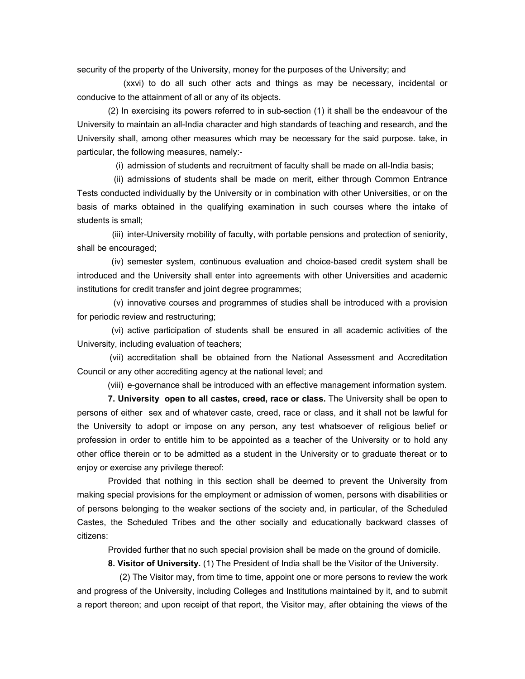security of the property of the University, money for the purposes of the University; and

(xxvi) to do all such other acts and things as may be necessary, incidental or conducive to the attainment of all or any of its objects.

 (2) In exercising its powers referred to in sub-section (1) it shall be the endeavour of the University to maintain an all-India character and high standards of teaching and research, and the University shall, among other measures which may be necessary for the said purpose. take, in particular, the following measures, namely:-

(i) admission of students and recruitment of faculty shall be made on all-India basis;

 (ii) admissions of students shall be made on merit, either through Common Entrance Tests conducted individually by the University or in combination with other Universities, or on the basis of marks obtained in the qualifying examination in such courses where the intake of students is small;

 (iii) inter-University mobility of faculty, with portable pensions and protection of seniority, shall be encouraged;

 (iv) semester system, continuous evaluation and choice-based credit system shall be introduced and the University shall enter into agreements with other Universities and academic institutions for credit transfer and joint degree programmes;

 (v) innovative courses and programmes of studies shall be introduced with a provision for periodic review and restructuring;

 (vi) active participation of students shall be ensured in all academic activities of the University, including evaluation of teachers;

 (vii) accreditation shall be obtained from the National Assessment and Accreditation Council or any other accrediting agency at the national level; and

(viii) e-governance shall be introduced with an effective management information system.

 **7. University open to all castes, creed, race or class.** The University shall be open to persons of either sex and of whatever caste, creed, race or class, and it shall not be lawful for the University to adopt or impose on any person, any test whatsoever of religious belief or profession in order to entitle him to be appointed as a teacher of the University or to hold any other office therein or to be admitted as a student in the University or to graduate thereat or to enjoy or exercise any privilege thereof:

 Provided that nothing in this section shall be deemed to prevent the University from making special provisions for the employment or admission of women, persons with disabilities or of persons belonging to the weaker sections of the society and, in particular, of the Scheduled Castes, the Scheduled Tribes and the other socially and educationally backward classes of citizens:

Provided further that no such special provision shall be made on the ground of domicile.

**8. Visitor of University.** (1) The President of India shall be the Visitor of the University.

 (2) The Visitor may, from time to time, appoint one or more persons to review the work and progress of the University, including Colleges and Institutions maintained by it, and to submit a report thereon; and upon receipt of that report, the Visitor may, after obtaining the views of the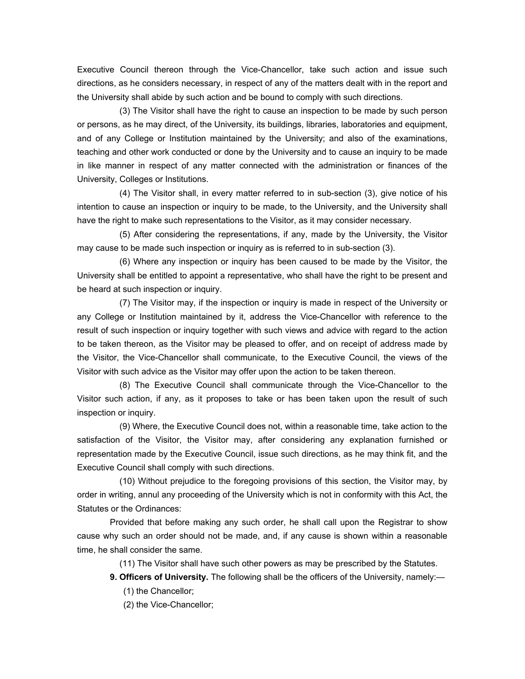Executive Council thereon through the Vice-Chancellor, take such action and issue such directions, as he considers necessary, in respect of any of the matters dealt with in the report and the University shall abide by such action and be bound to comply with such directions.

 (3) The Visitor shall have the right to cause an inspection to be made by such person or persons, as he may direct, of the University, its buildings, libraries, laboratories and equipment, and of any College or Institution maintained by the University; and also of the examinations, teaching and other work conducted or done by the University and to cause an inquiry to be made in like manner in respect of any matter connected with the administration or finances of the University, Colleges or Institutions.

 (4) The Visitor shall, in every matter referred to in sub-section (3), give notice of his intention to cause an inspection or inquiry to be made, to the University, and the University shall have the right to make such representations to the Visitor, as it may consider necessary.

 (5) After considering the representations, if any, made by the University, the Visitor may cause to be made such inspection or inquiry as is referred to in sub-section (3).

 (6) Where any inspection or inquiry has been caused to be made by the Visitor, the University shall be entitled to appoint a representative, who shall have the right to be present and be heard at such inspection or inquiry.

 (7) The Visitor may, if the inspection or inquiry is made in respect of the University or any College or Institution maintained by it, address the Vice-Chancellor with reference to the result of such inspection or inquiry together with such views and advice with regard to the action to be taken thereon, as the Visitor may be pleased to offer, and on receipt of address made by the Visitor, the Vice-Chancellor shall communicate, to the Executive Council, the views of the Visitor with such advice as the Visitor may offer upon the action to be taken thereon.

 (8) The Executive Council shall communicate through the Vice-Chancellor to the Visitor such action, if any, as it proposes to take or has been taken upon the result of such inspection or inquiry.

 (9) Where, the Executive Council does not, within a reasonable time, take action to the satisfaction of the Visitor, the Visitor may, after considering any explanation furnished or representation made by the Executive Council, issue such directions, as he may think fit, and the Executive Council shall comply with such directions.

 (10) Without prejudice to the foregoing provisions of this section, the Visitor may, by order in writing, annul any proceeding of the University which is not in conformity with this Act, the Statutes or the Ordinances:

 Provided that before making any such order, he shall call upon the Registrar to show cause why such an order should not be made, and, if any cause is shown within a reasonable time, he shall consider the same.

(11) The Visitor shall have such other powers as may be prescribed by the Statutes.

**9. Officers of University.** The following shall be the officers of the University, namely:— (1) the Chancellor;

(2) the Vice-Chancellor;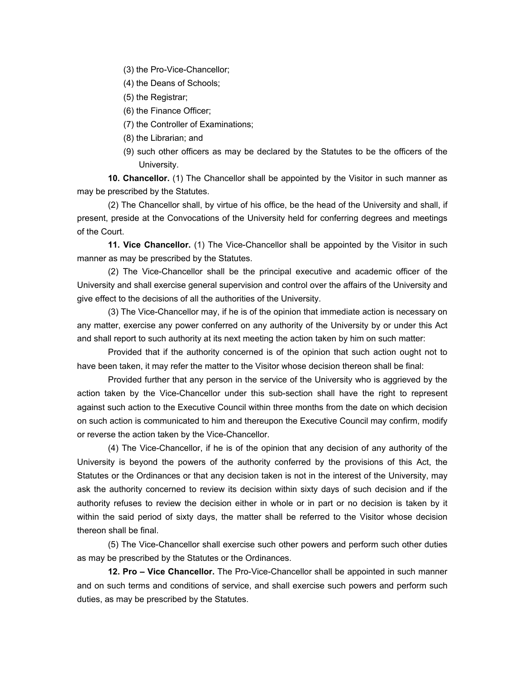(3) the Pro-Vice-Chancellor;

(4) the Deans of Schools;

- (5) the Registrar;
- (6) the Finance Officer;
- (7) the Controller of Examinations;
- (8) the Librarian; and
- (9) such other officers as may be declared by the Statutes to be the officers of the University.

 **10. Chancellor.** (1) The Chancellor shall be appointed by the Visitor in such manner as may be prescribed by the Statutes.

 (2) The Chancellor shall, by virtue of his office, be the head of the University and shall, if present, preside at the Convocations of the University held for conferring degrees and meetings of the Court.

 **11. Vice Chancellor.** (1) The Vice-Chancellor shall be appointed by the Visitor in such manner as may be prescribed by the Statutes.

 (2) The Vice-Chancellor shall be the principal executive and academic officer of the University and shall exercise general supervision and control over the affairs of the University and give effect to the decisions of all the authorities of the University.

 (3) The Vice-Chancellor may, if he is of the opinion that immediate action is necessary on any matter, exercise any power conferred on any authority of the University by or under this Act and shall report to such authority at its next meeting the action taken by him on such matter:

 Provided that if the authority concerned is of the opinion that such action ought not to have been taken, it may refer the matter to the Visitor whose decision thereon shall be final:

 Provided further that any person in the service of the University who is aggrieved by the action taken by the Vice-Chancellor under this sub-section shall have the right to represent against such action to the Executive Council within three months from the date on which decision on such action is communicated to him and thereupon the Executive Council may confirm, modify or reverse the action taken by the Vice-Chancellor.

 (4) The Vice-Chancellor, if he is of the opinion that any decision of any authority of the University is beyond the powers of the authority conferred by the provisions of this Act, the Statutes or the Ordinances or that any decision taken is not in the interest of the University, may ask the authority concerned to review its decision within sixty days of such decision and if the authority refuses to review the decision either in whole or in part or no decision is taken by it within the said period of sixty days, the matter shall be referred to the Visitor whose decision thereon shall be final.

 (5) The Vice-Chancellor shall exercise such other powers and perform such other duties as may be prescribed by the Statutes or the Ordinances.

 **12. Pro – Vice Chancellor.** The Pro-Vice-Chancellor shall be appointed in such manner and on such terms and conditions of service, and shall exercise such powers and perform such duties, as may be prescribed by the Statutes.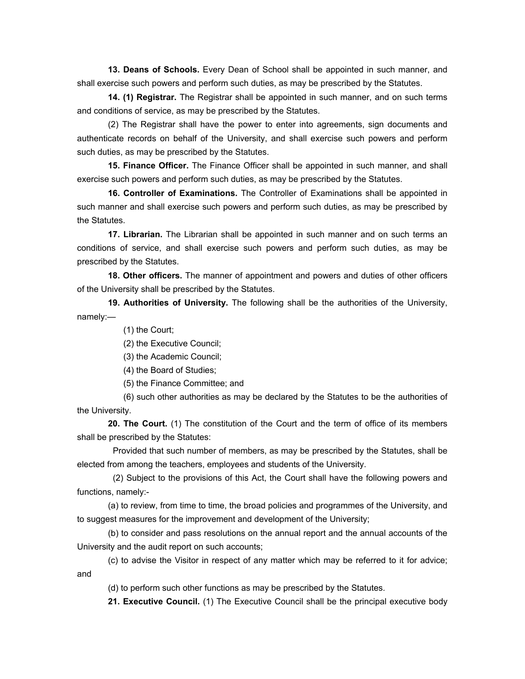**13. Deans of Schools.** Every Dean of School shall be appointed in such manner, and shall exercise such powers and perform such duties, as may be prescribed by the Statutes.

**14. (1) Registrar.** The Registrar shall be appointed in such manner, and on such terms and conditions of service, as may be prescribed by the Statutes.

(2) The Registrar shall have the power to enter into agreements, sign documents and authenticate records on behalf of the University, and shall exercise such powers and perform such duties, as may be prescribed by the Statutes.

**15. Finance Officer.** The Finance Officer shall be appointed in such manner, and shall exercise such powers and perform such duties, as may be prescribed by the Statutes.

**16. Controller of Examinations.** The Controller of Examinations shall be appointed in such manner and shall exercise such powers and perform such duties, as may be prescribed by the Statutes.

**17. Librarian.** The Librarian shall be appointed in such manner and on such terms an conditions of service, and shall exercise such powers and perform such duties, as may be prescribed by the Statutes.

**18. Other officers.** The manner of appointment and powers and duties of other officers of the University shall be prescribed by the Statutes.

**19. Authorities of University.** The following shall be the authorities of the University, namely:—

(1) the Court;

(2) the Executive Council;

(3) the Academic Council;

(4) the Board of Studies;

(5) the Finance Committee; and

(6) such other authorities as may be declared by the Statutes to be the authorities of the University.

**20. The Court.** (1) The constitution of the Court and the term of office of its members shall be prescribed by the Statutes:

 Provided that such number of members, as may be prescribed by the Statutes, shall be elected from among the teachers, employees and students of the University.

 (2) Subject to the provisions of this Act, the Court shall have the following powers and functions, namely:-

(a) to review, from time to time, the broad policies and programmes of the University, and to suggest measures for the improvement and development of the University;

(b) to consider and pass resolutions on the annual report and the annual accounts of the University and the audit report on such accounts;

(c) to advise the Visitor in respect of any matter which may be referred to it for advice; and

(d) to perform such other functions as may be prescribed by the Statutes.

**21. Executive Council.** (1) The Executive Council shall be the principal executive body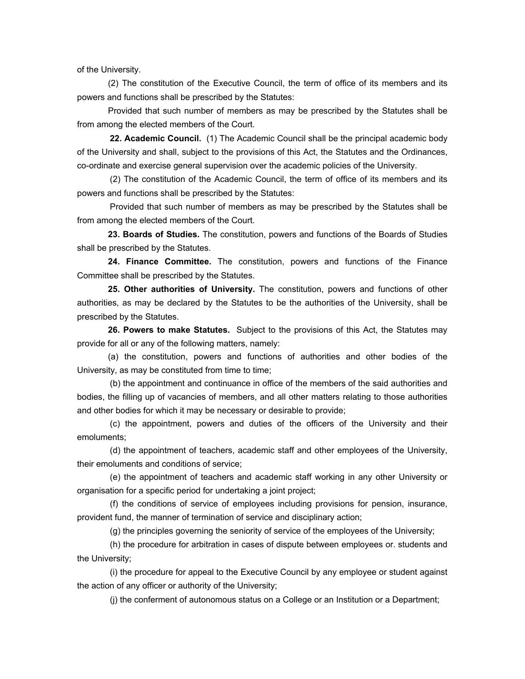of the University.

(2) The constitution of the Executive Council, the term of office of its members and its powers and functions shall be prescribed by the Statutes:

Provided that such number of members as may be prescribed by the Statutes shall be from among the elected members of the Court.

**22. Academic Council.** (1) The Academic Council shall be the principal academic body of the University and shall, subject to the provisions of this Act, the Statutes and the Ordinances, co-ordinate and exercise general supervision over the academic policies of the University.

 (2) The constitution of the Academic Council, the term of office of its members and its powers and functions shall be prescribed by the Statutes:

 Provided that such number of members as may be prescribed by the Statutes shall be from among the elected members of the Court.

**23. Boards of Studies.** The constitution, powers and functions of the Boards of Studies shall be prescribed by the Statutes.

**24. Finance Committee.** The constitution, powers and functions of the Finance Committee shall be prescribed by the Statutes.

**25. Other authorities of University.** The constitution, powers and functions of other authorities, as may be declared by the Statutes to be the authorities of the University, shall be prescribed by the Statutes.

**26. Powers to make Statutes.** Subject to the provisions of this Act, the Statutes may provide for all or any of the following matters, namely:

(a) the constitution, powers and functions of authorities and other bodies of the University, as may be constituted from time to time;

 (b) the appointment and continuance in office of the members of the said authorities and bodies, the filling up of vacancies of members, and all other matters relating to those authorities and other bodies for which it may be necessary or desirable to provide;

 (c) the appointment, powers and duties of the officers of the University and their emoluments;

 (d) the appointment of teachers, academic staff and other employees of the University, their emoluments and conditions of service;

 (e) the appointment of teachers and academic staff working in any other University or organisation for a specific period for undertaking a joint project;

 (f) the conditions of service of employees including provisions for pension, insurance, provident fund, the manner of termination of service and disciplinary action;

(g) the principles governing the seniority of service of the employees of the University;

 (h) the procedure for arbitration in cases of dispute between employees or. students and the University;

 (i) the procedure for appeal to the Executive Council by any employee or student against the action of any officer or authority of the University;

(j) the conferment of autonomous status on a College or an Institution or a Department;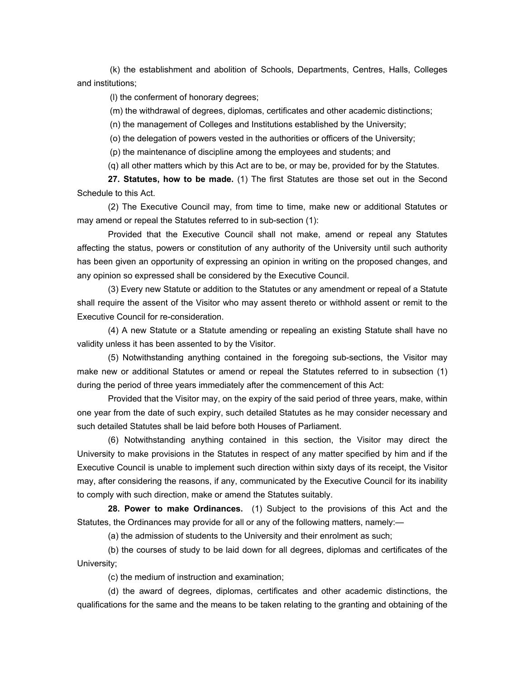(k) the establishment and abolition of Schools, Departments, Centres, Halls, Colleges and institutions;

(l) the conferment of honorary degrees;

(m) the withdrawal of degrees, diplomas, certificates and other academic distinctions;

(n) the management of Colleges and Institutions established by the University;

(o) the delegation of powers vested in the authorities or officers of the University;

(p) the maintenance of discipline among the employees and students; and

(q) all other matters which by this Act are to be, or may be, provided for by the Statutes.

**27. Statutes, how to be made.** (1) The first Statutes are those set out in the Second Schedule to this Act.

(2) The Executive Council may, from time to time, make new or additional Statutes or may amend or repeal the Statutes referred to in sub-section (1):

Provided that the Executive Council shall not make, amend or repeal any Statutes affecting the status, powers or constitution of any authority of the University until such authority has been given an opportunity of expressing an opinion in writing on the proposed changes, and any opinion so expressed shall be considered by the Executive Council.

(3) Every new Statute or addition to the Statutes or any amendment or repeal of a Statute shall require the assent of the Visitor who may assent thereto or withhold assent or remit to the Executive Council for re-consideration.

(4) A new Statute or a Statute amending or repealing an existing Statute shall have no validity unless it has been assented to by the Visitor.

(5) Notwithstanding anything contained in the foregoing sub-sections, the Visitor may make new or additional Statutes or amend or repeal the Statutes referred to in subsection (1) during the period of three years immediately after the commencement of this Act:

Provided that the Visitor may, on the expiry of the said period of three years, make, within one year from the date of such expiry, such detailed Statutes as he may consider necessary and such detailed Statutes shall be laid before both Houses of Parliament.

(6) Notwithstanding anything contained in this section, the Visitor may direct the University to make provisions in the Statutes in respect of any matter specified by him and if the Executive Council is unable to implement such direction within sixty days of its receipt, the Visitor may, after considering the reasons, if any, communicated by the Executive Council for its inability to comply with such direction, make or amend the Statutes suitably.

**28. Power to make Ordinances.** (1) Subject to the provisions of this Act and the Statutes, the Ordinances may provide for all or any of the following matters, namely:—

(a) the admission of students to the University and their enrolment as such;

(b) the courses of study to be laid down for all degrees, diplomas and certificates of the University;

(c) the medium of instruction and examination;

(d) the award of degrees, diplomas, certificates and other academic distinctions, the qualifications for the same and the means to be taken relating to the granting and obtaining of the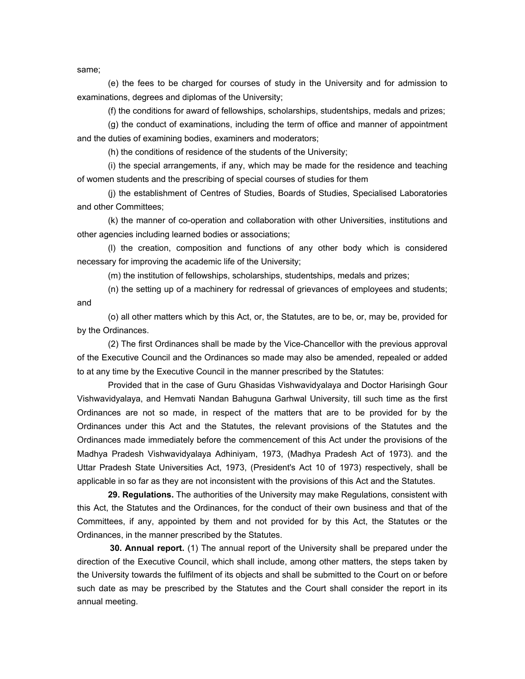same;

(e) the fees to be charged for courses of study in the University and for admission to examinations, degrees and diplomas of the University;

(f) the conditions for award of fellowships, scholarships, studentships, medals and prizes;

(g) the conduct of examinations, including the term of office and manner of appointment and the duties of examining bodies, examiners and moderators;

(h) the conditions of residence of the students of the University;

(i) the special arrangements, if any, which may be made for the residence and teaching of women students and the prescribing of special courses of studies for them

(j) the establishment of Centres of Studies, Boards of Studies, Specialised Laboratories and other Committees;

(k) the manner of co-operation and collaboration with other Universities, institutions and other agencies including learned bodies or associations;

(l) the creation, composition and functions of any other body which is considered necessary for improving the academic life of the University;

(m) the institution of fellowships, scholarships, studentships, medals and prizes;

(n) the setting up of a machinery for redressal of grievances of employees and students; and

(o) all other matters which by this Act, or, the Statutes, are to be, or, may be, provided for by the Ordinances.

(2) The first Ordinances shall be made by the Vice-Chancellor with the previous approval of the Executive Council and the Ordinances so made may also be amended, repealed or added to at any time by the Executive Council in the manner prescribed by the Statutes:

Provided that in the case of Guru Ghasidas Vishwavidyalaya and Doctor Harisingh Gour Vishwavidyalaya, and Hemvati Nandan Bahuguna Garhwal University, till such time as the first Ordinances are not so made, in respect of the matters that are to be provided for by the Ordinances under this Act and the Statutes, the relevant provisions of the Statutes and the Ordinances made immediately before the commencement of this Act under the provisions of the Madhya Pradesh Vishwavidyalaya Adhiniyam, 1973, (Madhya Pradesh Act of 1973). and the Uttar Pradesh State Universities Act, 1973, (President's Act 10 of 1973) respectively, shall be applicable in so far as they are not inconsistent with the provisions of this Act and the Statutes.

**29. Regulations.** The authorities of the University may make Regulations, consistent with this Act, the Statutes and the Ordinances, for the conduct of their own business and that of the Committees, if any, appointed by them and not provided for by this Act, the Statutes or the Ordinances, in the manner prescribed by the Statutes.

**30. Annual report.** (1) The annual report of the University shall be prepared under the direction of the Executive Council, which shall include, among other matters, the steps taken by the University towards the fulfilment of its objects and shall be submitted to the Court on or before such date as may be prescribed by the Statutes and the Court shall consider the report in its annual meeting.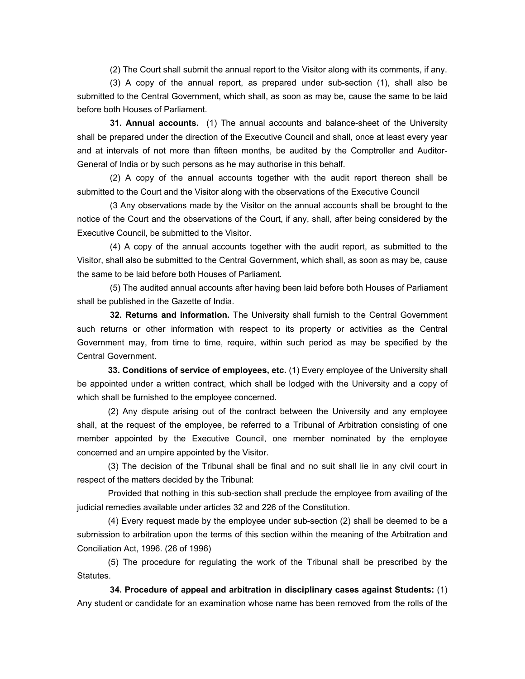(2) The Court shall submit the annual report to the Visitor along with its comments, if any.

 (3) A copy of the annual report, as prepared under sub-section (1), shall also be submitted to the Central Government, which shall, as soon as may be, cause the same to be laid before both Houses of Parliament.

**31. Annual accounts.** (1) The annual accounts and balance-sheet of the University shall be prepared under the direction of the Executive Council and shall, once at least every year and at intervals of not more than fifteen months, be audited by the Comptroller and Auditor-General of India or by such persons as he may authorise in this behalf.

 (2) A copy of the annual accounts together with the audit report thereon shall be submitted to the Court and the Visitor along with the observations of the Executive Council

 (3 Any observations made by the Visitor on the annual accounts shall be brought to the notice of the Court and the observations of the Court, if any, shall, after being considered by the Executive Council, be submitted to the Visitor.

 (4) A copy of the annual accounts together with the audit report, as submitted to the Visitor, shall also be submitted to the Central Government, which shall, as soon as may be, cause the same to be laid before both Houses of Parliament.

 (5) The audited annual accounts after having been laid before both Houses of Parliament shall be published in the Gazette of India.

**32. Returns and information.** The University shall furnish to the Central Government such returns or other information with respect to its property or activities as the Central Government may, from time to time, require, within such period as may be specified by the Central Government.

**33. Conditions of service of employees, etc.** (1) Every employee of the University shall be appointed under a written contract, which shall be lodged with the University and a copy of which shall be furnished to the employee concerned.

(2) Any dispute arising out of the contract between the University and any employee shall, at the request of the employee, be referred to a Tribunal of Arbitration consisting of one member appointed by the Executive Council, one member nominated by the employee concerned and an umpire appointed by the Visitor.

(3) The decision of the Tribunal shall be final and no suit shall lie in any civil court in respect of the matters decided by the Tribunal:

Provided that nothing in this sub-section shall preclude the employee from availing of the judicial remedies available under articles 32 and 226 of the Constitution.

(4) Every request made by the employee under sub-section (2) shall be deemed to be a submission to arbitration upon the terms of this section within the meaning of the Arbitration and Conciliation Act, 1996. (26 of 1996)

(5) The procedure for regulating the work of the Tribunal shall be prescribed by the Statutes.

**34. Procedure of appeal and arbitration in disciplinary cases against Students:** (1) Any student or candidate for an examination whose name has been removed from the rolls of the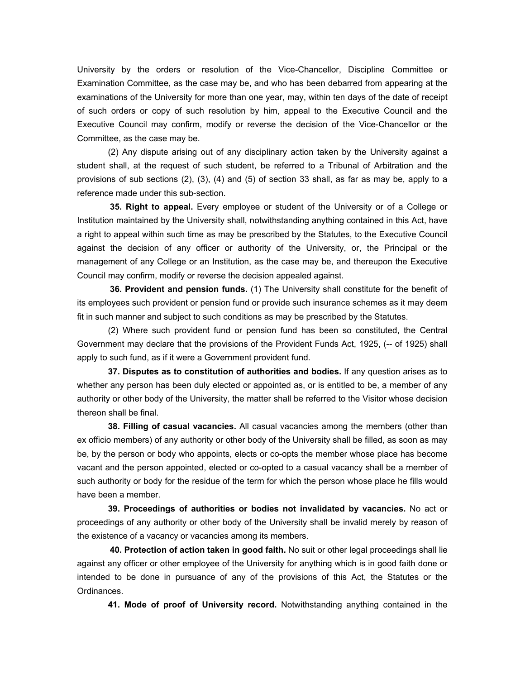University by the orders or resolution of the Vice-Chancellor, Discipline Committee or Examination Committee, as the case may be, and who has been debarred from appearing at the examinations of the University for more than one year, may, within ten days of the date of receipt of such orders or copy of such resolution by him, appeal to the Executive Council and the Executive Council may confirm, modify or reverse the decision of the Vice-Chancellor or the Committee, as the case may be.

(2) Any dispute arising out of any disciplinary action taken by the University against a student shall, at the request of such student, be referred to a Tribunal of Arbitration and the provisions of sub sections (2), (3), (4) and (5) of section 33 shall, as far as may be, apply to a reference made under this sub-section.

**35. Right to appeal.** Every employee or student of the University or of a College or Institution maintained by the University shall, notwithstanding anything contained in this Act, have a right to appeal within such time as may be prescribed by the Statutes, to the Executive Council against the decision of any officer or authority of the University, or, the Principal or the management of any College or an Institution, as the case may be, and thereupon the Executive Council may confirm, modify or reverse the decision appealed against.

**36. Provident and pension funds.** (1) The University shall constitute for the benefit of its employees such provident or pension fund or provide such insurance schemes as it may deem fit in such manner and subject to such conditions as may be prescribed by the Statutes.

(2) Where such provident fund or pension fund has been so constituted, the Central Government may declare that the provisions of the Provident Funds Act, 1925, (-- of 1925) shall apply to such fund, as if it were a Government provident fund.

**37. Disputes as to constitution of authorities and bodies.** If any question arises as to whether any person has been duly elected or appointed as, or is entitled to be, a member of any authority or other body of the University, the matter shall be referred to the Visitor whose decision thereon shall be final.

**38. Filling of casual vacancies.** All casual vacancies among the members (other than ex officio members) of any authority or other body of the University shall be filled, as soon as may be, by the person or body who appoints, elects or co-opts the member whose place has become vacant and the person appointed, elected or co-opted to a casual vacancy shall be a member of such authority or body for the residue of the term for which the person whose place he fills would have been a member.

**39. Proceedings of authorities or bodies not invalidated by vacancies.** No act or proceedings of any authority or other body of the University shall be invalid merely by reason of the existence of a vacancy or vacancies among its members.

**40. Protection of action taken in good faith.** No suit or other legal proceedings shall lie against any officer or other employee of the University for anything which is in good faith done or intended to be done in pursuance of any of the provisions of this Act, the Statutes or the Ordinances.

**41. Mode of proof of University record.** Notwithstanding anything contained in the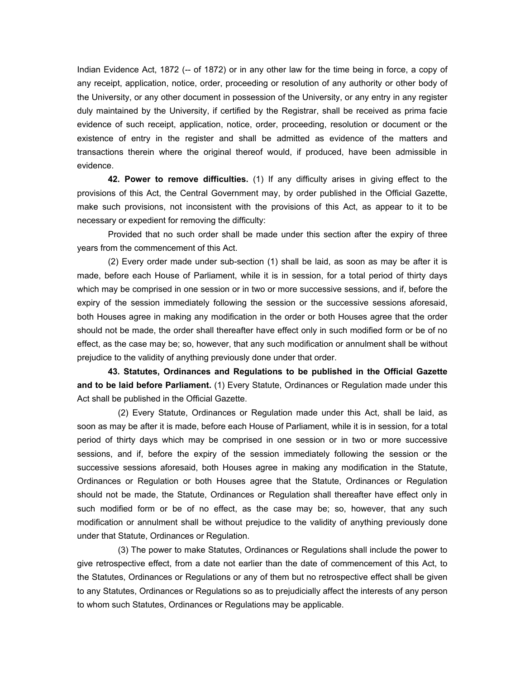Indian Evidence Act, 1872 (-- of 1872) or in any other law for the time being in force, a copy of any receipt, application, notice, order, proceeding or resolution of any authority or other body of the University, or any other document in possession of the University, or any entry in any register duly maintained by the University, if certified by the Registrar, shall be received as prima facie evidence of such receipt, application, notice, order, proceeding, resolution or document or the existence of entry in the register and shall be admitted as evidence of the matters and transactions therein where the original thereof would, if produced, have been admissible in evidence.

**42. Power to remove difficulties.** (1) If any difficulty arises in giving effect to the provisions of this Act, the Central Government may, by order published in the Official Gazette, make such provisions, not inconsistent with the provisions of this Act, as appear to it to be necessary or expedient for removing the difficulty:

Provided that no such order shall be made under this section after the expiry of three years from the commencement of this Act.

(2) Every order made under sub-section (1) shall be laid, as soon as may be after it is made, before each House of Parliament, while it is in session, for a total period of thirty days which may be comprised in one session or in two or more successive sessions, and if, before the expiry of the session immediately following the session or the successive sessions aforesaid, both Houses agree in making any modification in the order or both Houses agree that the order should not be made, the order shall thereafter have effect only in such modified form or be of no effect, as the case may be; so, however, that any such modification or annulment shall be without prejudice to the validity of anything previously done under that order.

**43. Statutes, Ordinances and Regulations to be published in the Official Gazette and to be laid before Parliament.** (1) Every Statute, Ordinances or Regulation made under this Act shall be published in the Official Gazette.

 (2) Every Statute, Ordinances or Regulation made under this Act, shall be laid, as soon as may be after it is made, before each House of Parliament, while it is in session, for a total period of thirty days which may be comprised in one session or in two or more successive sessions, and if, before the expiry of the session immediately following the session or the successive sessions aforesaid, both Houses agree in making any modification in the Statute, Ordinances or Regulation or both Houses agree that the Statute, Ordinances or Regulation should not be made, the Statute, Ordinances or Regulation shall thereafter have effect only in such modified form or be of no effect, as the case may be; so, however, that any such modification or annulment shall be without prejudice to the validity of anything previously done under that Statute, Ordinances or Regulation.

 (3) The power to make Statutes, Ordinances or Regulations shall include the power to give retrospective effect, from a date not earlier than the date of commencement of this Act, to the Statutes, Ordinances or Regulations or any of them but no retrospective effect shall be given to any Statutes, Ordinances or Regulations so as to prejudicially affect the interests of any person to whom such Statutes, Ordinances or Regulations may be applicable.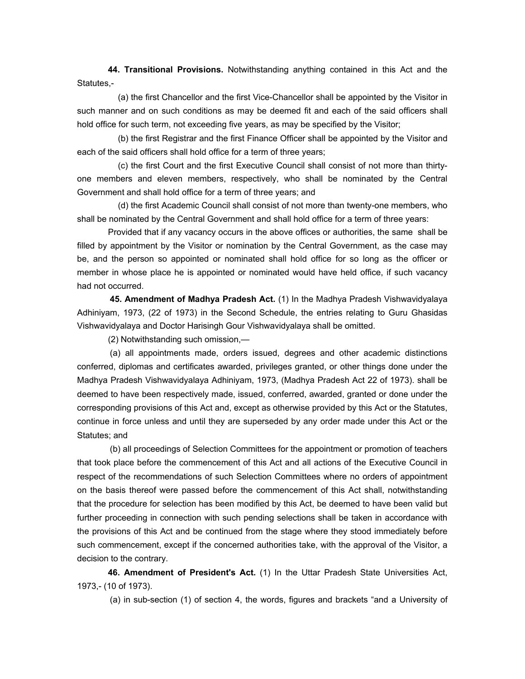**44. Transitional Provisions.** Notwithstanding anything contained in this Act and the Statutes,-

 (a) the first Chancellor and the first Vice-Chancellor shall be appointed by the Visitor in such manner and on such conditions as may be deemed fit and each of the said officers shall hold office for such term, not exceeding five years, as may be specified by the Visitor;

 (b) the first Registrar and the first Finance Officer shall be appointed by the Visitor and each of the said officers shall hold office for a term of three years;

 (c) the first Court and the first Executive Council shall consist of not more than thirtyone members and eleven members, respectively, who shall be nominated by the Central Government and shall hold office for a term of three years; and

 (d) the first Academic Council shall consist of not more than twenty-one members, who shall be nominated by the Central Government and shall hold office for a term of three years:

Provided that if any vacancy occurs in the above offices or authorities, the same shall be filled by appointment by the Visitor or nomination by the Central Government, as the case may be, and the person so appointed or nominated shall hold office for so long as the officer or member in whose place he is appointed or nominated would have held office, if such vacancy had not occurred.

 **45. Amendment of Madhya Pradesh Act.** (1) In the Madhya Pradesh Vishwavidyalaya Adhiniyam, 1973, (22 of 1973) in the Second Schedule, the entries relating to Guru Ghasidas Vishwavidyalaya and Doctor Harisingh Gour Vishwavidyalaya shall be omitted.

(2) Notwithstanding such omission,—

 (a) all appointments made, orders issued, degrees and other academic distinctions conferred, diplomas and certificates awarded, privileges granted, or other things done under the Madhya Pradesh Vishwavidyalaya Adhiniyam, 1973, (Madhya Pradesh Act 22 of 1973). shall be deemed to have been respectively made, issued, conferred, awarded, granted or done under the corresponding provisions of this Act and, except as otherwise provided by this Act or the Statutes, continue in force unless and until they are superseded by any order made under this Act or the Statutes; and

 (b) all proceedings of Selection Committees for the appointment or promotion of teachers that took place before the commencement of this Act and all actions of the Executive Council in respect of the recommendations of such Selection Committees where no orders of appointment on the basis thereof were passed before the commencement of this Act shall, notwithstanding that the procedure for selection has been modified by this Act, be deemed to have been valid but further proceeding in connection with such pending selections shall be taken in accordance with the provisions of this Act and be continued from the stage where they stood immediately before such commencement, except if the concerned authorities take, with the approval of the Visitor, a decision to the contrary.

**46. Amendment of President's Act.** (1) In the Uttar Pradesh State Universities Act, 1973,- (10 of 1973).

(a) in sub-section (1) of section 4, the words, figures and brackets "and a University of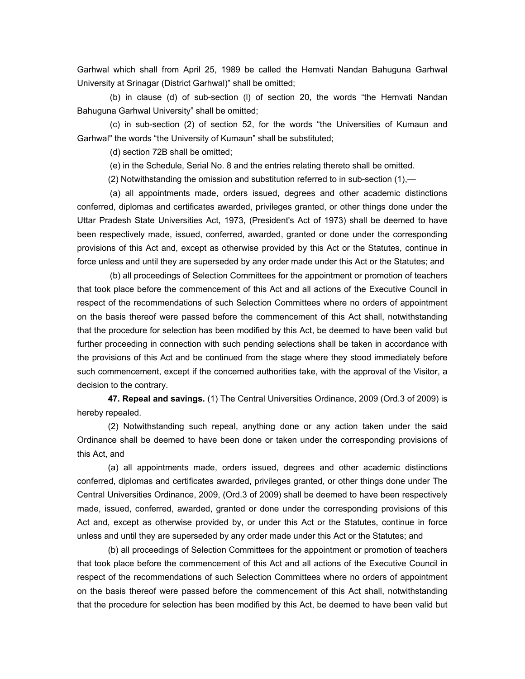Garhwal which shall from April 25, 1989 be called the Hemvati Nandan Bahuguna Garhwal University at Srinagar (District Garhwal)" shall be omitted;

 (b) in clause (d) of sub-section (l) of section 20, the words "the Hemvati Nandan Bahuguna Garhwal University" shall be omitted;

 (c) in sub-section (2) of section 52, for the words "the Universities of Kumaun and Garhwal" the words "the University of Kumaun" shall be substituted;

(d) section 72B shall be omitted;

(e) in the Schedule, Serial No. 8 and the entries relating thereto shall be omitted.

(2) Notwithstanding the omission and substitution referred to in sub-section (1),—

 (a) all appointments made, orders issued, degrees and other academic distinctions conferred, diplomas and certificates awarded, privileges granted, or other things done under the Uttar Pradesh State Universities Act, 1973, (President's Act of 1973) shall be deemed to have been respectively made, issued, conferred, awarded, granted or done under the corresponding provisions of this Act and, except as otherwise provided by this Act or the Statutes, continue in force unless and until they are superseded by any order made under this Act or the Statutes; and

 (b) all proceedings of Selection Committees for the appointment or promotion of teachers that took place before the commencement of this Act and all actions of the Executive Council in respect of the recommendations of such Selection Committees where no orders of appointment on the basis thereof were passed before the commencement of this Act shall, notwithstanding that the procedure for selection has been modified by this Act, be deemed to have been valid but further proceeding in connection with such pending selections shall be taken in accordance with the provisions of this Act and be continued from the stage where they stood immediately before such commencement, except if the concerned authorities take, with the approval of the Visitor, a decision to the contrary.

**47. Repeal and savings.** (1) The Central Universities Ordinance, 2009 (Ord.3 of 2009) is hereby repealed.

(2) Notwithstanding such repeal, anything done or any action taken under the said Ordinance shall be deemed to have been done or taken under the corresponding provisions of this Act, and

(a) all appointments made, orders issued, degrees and other academic distinctions conferred, diplomas and certificates awarded, privileges granted, or other things done under The Central Universities Ordinance, 2009, (Ord.3 of 2009) shall be deemed to have been respectively made, issued, conferred, awarded, granted or done under the corresponding provisions of this Act and, except as otherwise provided by, or under this Act or the Statutes, continue in force unless and until they are superseded by any order made under this Act or the Statutes; and

(b) all proceedings of Selection Committees for the appointment or promotion of teachers that took place before the commencement of this Act and all actions of the Executive Council in respect of the recommendations of such Selection Committees where no orders of appointment on the basis thereof were passed before the commencement of this Act shall, notwithstanding that the procedure for selection has been modified by this Act, be deemed to have been valid but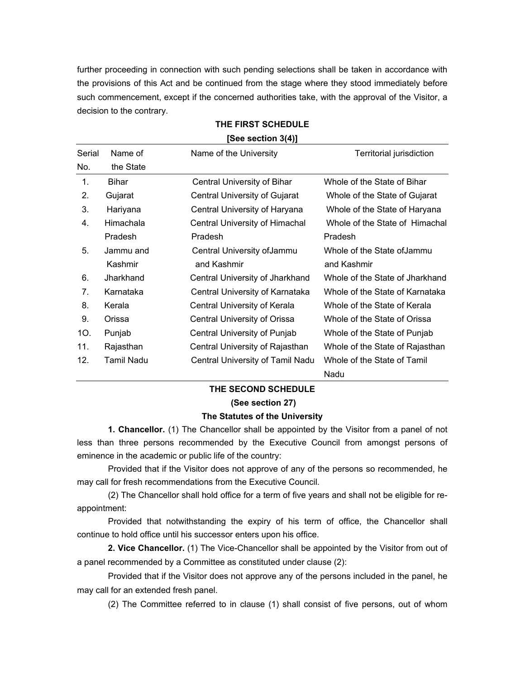further proceeding in connection with such pending selections shall be taken in accordance with the provisions of this Act and be continued from the stage where they stood immediately before such commencement, except if the concerned authorities take, with the approval of the Visitor, a decision to the contrary.

| Serial | Name of    | Name of the University           | Territorial jurisdiction        |
|--------|------------|----------------------------------|---------------------------------|
| No.    | the State  |                                  |                                 |
| 1.     | Bihar      | Central University of Bihar      | Whole of the State of Bihar     |
| 2.     | Gujarat    | Central University of Gujarat    | Whole of the State of Gujarat   |
| 3.     | Hariyana   | Central University of Haryana    | Whole of the State of Haryana   |
| 4.     | Himachala  | Central University of Himachal   | Whole of the State of Himachal  |
|        | Pradesh    | Pradesh                          | Pradesh                         |
| 5.     | Jammu and  | Central University of Jammu      | Whole of the State of Jammu     |
|        | Kashmir    | and Kashmir                      | and Kashmir                     |
| 6.     | Jharkhand  | Central University of Jharkhand  | Whole of the State of Jharkhand |
| 7.     | Karnataka  | Central University of Karnataka  | Whole of the State of Karnataka |
| 8.     | Kerala     | Central University of Kerala     | Whole of the State of Kerala    |
| 9.     | Orissa     | Central University of Orissa     | Whole of the State of Orissa    |
| 10.    | Punjab     | Central University of Punjab     | Whole of the State of Punjab    |
| 11.    | Rajasthan  | Central University of Rajasthan  | Whole of the State of Rajasthan |
| 12.    | Tamil Nadu | Central University of Tamil Nadu | Whole of the State of Tamil     |
|        |            |                                  | Nadu                            |

### **THE FIRST SCHEDULE [See section 3(4)]**

### **THE SECOND SCHEDULE**

#### **(See section 27)**

#### **The Statutes of the University**

**1. Chancellor.** (1) The Chancellor shall be appointed by the Visitor from a panel of not less than three persons recommended by the Executive Council from amongst persons of eminence in the academic or public life of the country:

Provided that if the Visitor does not approve of any of the persons so recommended, he may call for fresh recommendations from the Executive Council.

(2) The Chancellor shall hold office for a term of five years and shall not be eligible for reappointment:

Provided that notwithstanding the expiry of his term of office, the Chancellor shall continue to hold office until his successor enters upon his office.

**2. Vice Chancellor.** (1) The Vice-Chancellor shall be appointed by the Visitor from out of a panel recommended by a Committee as constituted under clause (2):

Provided that if the Visitor does not approve any of the persons included in the panel, he may call for an extended fresh panel.

(2) The Committee referred to in clause (1) shall consist of five persons, out of whom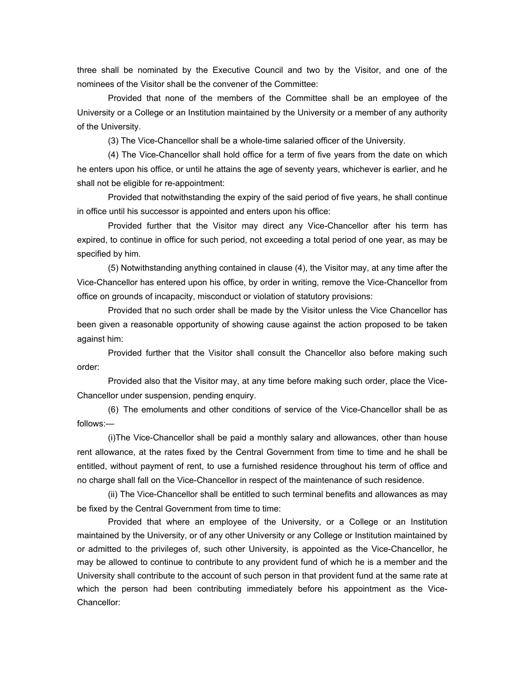three shall be nominated by the Executive Council and two by the Visitor, and one of the nominees of the Visitor shall be the convener of the Committee:

Provided that none of the members of the Committee shall be an employee of the University or a College or an Institution maintained by the University or a member of any authority of the University.

(3) The Vice-Chancellor shall be a whole-time salaried officer of the University.

(4) The Vice-Chancellor shall hold office for a term of five years from the date on which he enters upon his office, or until he attains the age of seventy years, whichever is earlier, and he shall not be eligible for re-appointment:

Provided that notwithstanding the expiry of the said period of five years, he shall continue in office until his successor is appointed and enters upon his office:

Provided further that the Visitor may direct any Vice-Chancellor after his term has expired, to continue in office for such period, not exceeding a total period of one year, as may be specified by him.

(5) Notwithstanding anything contained in clause (4), the Visitor may, at any time after the Vice-Chancellor has entered upon his office, by order in writing, remove the Vice-Chancellor from office on grounds of incapacity, misconduct or violation of statutory provisions:

Provided that no such order shall be made by the Visitor unless the Vice Chancellor has been given a reasonable opportunity of showing cause against the action proposed to be taken against him:

Provided further that the Visitor shall consult the Chancellor also before making such order:

Provided also that the Visitor may, at any time before making such order, place the Vice-Chancellor under suspension, pending enquiry.

(6) The emoluments and other conditions of service of the Vice-Chancellor shall be as follows:—

(i)The Vice-Chancellor shall be paid a monthly salary and allowances, other than house rent allowance, at the rates fixed by the Central Government from time to time and he shall be entitled, without payment of rent, to use a furnished residence throughout his term of office and no charge shall fall on the Vice-Chancellor in respect of the maintenance of such residence.

(ii) The Vice-Chancellor shall be entitled to such terminal benefits and allowances as may be fixed by the Central Government from time to time:

Provided that where an employee of the University, or a College or an Institution maintained by the University, or of any other University or any College or Institution maintained by or admitted to the privileges of, such other University, is appointed as the Vice-Chancellor, he may be allowed to continue to contribute to any provident fund of which he is a member and the University shall contribute to the account of such person in that provident fund at the same rate at which the person had been contributing immediately before his appointment as the Vice-Chancellor: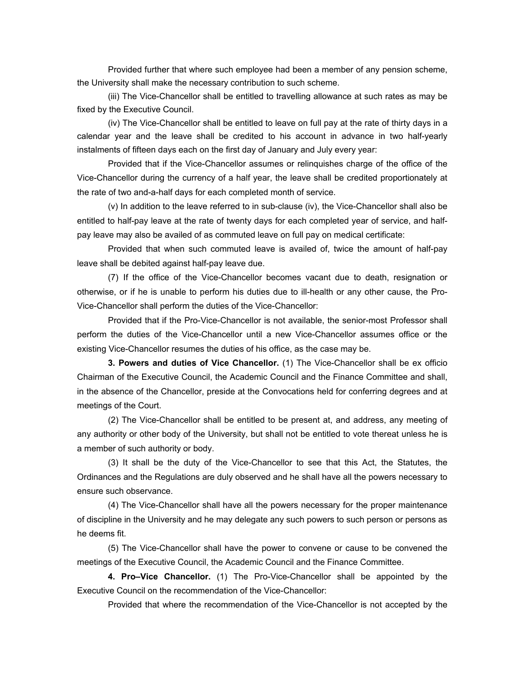Provided further that where such employee had been a member of any pension scheme, the University shall make the necessary contribution to such scheme.

(iii) The Vice-Chancellor shall be entitled to travelling allowance at such rates as may be fixed by the Executive Council.

(iv) The Vice-Chancellor shall be entitled to leave on full pay at the rate of thirty days in a calendar year and the leave shall be credited to his account in advance in two half-yearly instalments of fifteen days each on the first day of January and July every year:

Provided that if the Vice-Chancellor assumes or relinquishes charge of the office of the Vice-Chancellor during the currency of a half year, the leave shall be credited proportionately at the rate of two and-a-half days for each completed month of service.

(v) In addition to the leave referred to in sub-clause (iv), the Vice-Chancellor shall also be entitled to half-pay leave at the rate of twenty days for each completed year of service, and halfpay leave may also be availed of as commuted leave on full pay on medical certificate:

Provided that when such commuted leave is availed of, twice the amount of half-pay leave shall be debited against half-pay leave due.

(7) If the office of the Vice-Chancellor becomes vacant due to death, resignation or otherwise, or if he is unable to perform his duties due to ill-health or any other cause, the Pro-Vice-Chancellor shall perform the duties of the Vice-Chancellor:

Provided that if the Pro-Vice-Chancellor is not available, the senior-most Professor shall perform the duties of the Vice-Chancellor until a new Vice-Chancellor assumes office or the existing Vice-Chancellor resumes the duties of his office, as the case may be.

**3. Powers and duties of Vice Chancellor.** (1) The Vice-Chancellor shall be ex officio Chairman of the Executive Council, the Academic Council and the Finance Committee and shall, in the absence of the Chancellor, preside at the Convocations held for conferring degrees and at meetings of the Court.

(2) The Vice-Chancellor shall be entitled to be present at, and address, any meeting of any authority or other body of the University, but shall not be entitled to vote thereat unless he is a member of such authority or body.

(3) It shall be the duty of the Vice-Chancellor to see that this Act, the Statutes, the Ordinances and the Regulations are duly observed and he shall have all the powers necessary to ensure such observance.

(4) The Vice-Chancellor shall have all the powers necessary for the proper maintenance of discipline in the University and he may delegate any such powers to such person or persons as he deems fit.

(5) The Vice-Chancellor shall have the power to convene or cause to be convened the meetings of the Executive Council, the Academic Council and the Finance Committee.

**4. Pro–Vice Chancellor.** (1) The Pro-Vice-Chancellor shall be appointed by the Executive Council on the recommendation of the Vice-Chancellor:

Provided that where the recommendation of the Vice-Chancellor is not accepted by the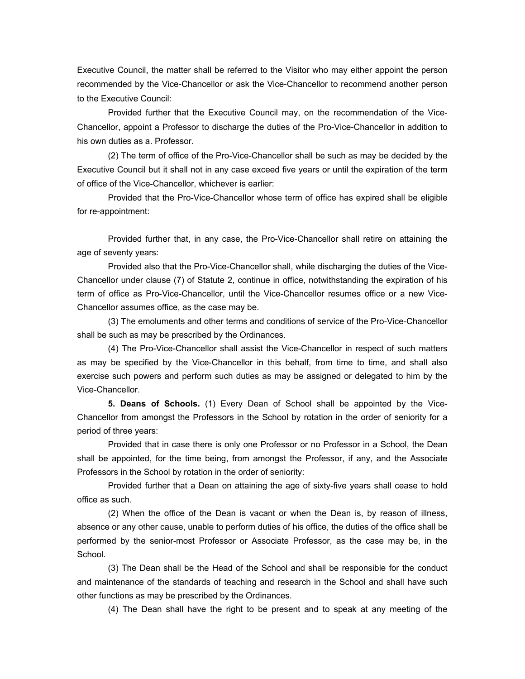Executive Council, the matter shall be referred to the Visitor who may either appoint the person recommended by the Vice-Chancellor or ask the Vice-Chancellor to recommend another person to the Executive Council:

Provided further that the Executive Council may, on the recommendation of the Vice-Chancellor, appoint a Professor to discharge the duties of the Pro-Vice-Chancellor in addition to his own duties as a. Professor.

(2) The term of office of the Pro-Vice-Chancellor shall be such as may be decided by the Executive Council but it shall not in any case exceed five years or until the expiration of the term of office of the Vice-Chancellor, whichever is earlier:

Provided that the Pro-Vice-Chancellor whose term of office has expired shall be eligible for re-appointment:

Provided further that, in any case, the Pro-Vice-Chancellor shall retire on attaining the age of seventy years:

Provided also that the Pro-Vice-Chancellor shall, while discharging the duties of the Vice-Chancellor under clause (7) of Statute 2, continue in office, notwithstanding the expiration of his term of office as Pro-Vice-Chancellor, until the Vice-Chancellor resumes office or a new Vice-Chancellor assumes office, as the case may be.

(3) The emoluments and other terms and conditions of service of the Pro-Vice-Chancellor shall be such as may be prescribed by the Ordinances.

(4) The Pro-Vice-Chancellor shall assist the Vice-Chancellor in respect of such matters as may be specified by the Vice-Chancellor in this behalf, from time to time, and shall also exercise such powers and perform such duties as may be assigned or delegated to him by the Vice-Chancellor.

**5. Deans of Schools.** (1) Every Dean of School shall be appointed by the Vice-Chancellor from amongst the Professors in the School by rotation in the order of seniority for a period of three years:

Provided that in case there is only one Professor or no Professor in a School, the Dean shall be appointed, for the time being, from amongst the Professor, if any, and the Associate Professors in the School by rotation in the order of seniority:

Provided further that a Dean on attaining the age of sixty-five years shall cease to hold office as such.

(2) When the office of the Dean is vacant or when the Dean is, by reason of illness, absence or any other cause, unable to perform duties of his office, the duties of the office shall be performed by the senior-most Professor or Associate Professor, as the case may be, in the School.

(3) The Dean shall be the Head of the School and shall be responsible for the conduct and maintenance of the standards of teaching and research in the School and shall have such other functions as may be prescribed by the Ordinances.

(4) The Dean shall have the right to be present and to speak at any meeting of the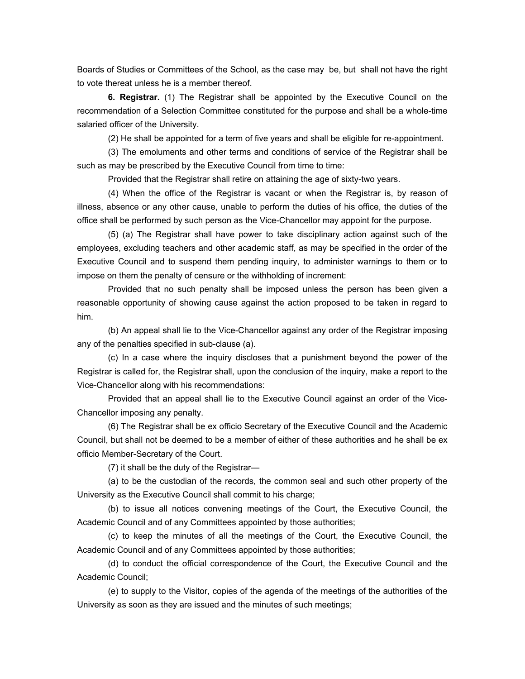Boards of Studies or Committees of the School, as the case may be, but shall not have the right to vote thereat unless he is a member thereof.

**6. Registrar.** (1) The Registrar shall be appointed by the Executive Council on the recommendation of a Selection Committee constituted for the purpose and shall be a whole-time salaried officer of the University.

(2) He shall be appointed for a term of five years and shall be eligible for re-appointment.

(3) The emoluments and other terms and conditions of service of the Registrar shall be such as may be prescribed by the Executive Council from time to time:

Provided that the Registrar shall retire on attaining the age of sixty-two years.

(4) When the office of the Registrar is vacant or when the Registrar is, by reason of illness, absence or any other cause, unable to perform the duties of his office, the duties of the office shall be performed by such person as the Vice-Chancellor may appoint for the purpose.

(5) (a) The Registrar shall have power to take disciplinary action against such of the employees, excluding teachers and other academic staff, as may be specified in the order of the Executive Council and to suspend them pending inquiry, to administer warnings to them or to impose on them the penalty of censure or the withholding of increment:

Provided that no such penalty shall be imposed unless the person has been given a reasonable opportunity of showing cause against the action proposed to be taken in regard to him.

(b) An appeal shall lie to the Vice-Chancellor against any order of the Registrar imposing any of the penalties specified in sub-clause (a).

(c) In a case where the inquiry discloses that a punishment beyond the power of the Registrar is called for, the Registrar shall, upon the conclusion of the inquiry, make a report to the Vice-Chancellor along with his recommendations:

Provided that an appeal shall lie to the Executive Council against an order of the Vice-Chancellor imposing any penalty.

(6) The Registrar shall be ex officio Secretary of the Executive Council and the Academic Council, but shall not be deemed to be a member of either of these authorities and he shall be ex officio Member-Secretary of the Court.

(7) it shall be the duty of the Registrar—

(a) to be the custodian of the records, the common seal and such other property of the University as the Executive Council shall commit to his charge;

(b) to issue all notices convening meetings of the Court, the Executive Council, the Academic Council and of any Committees appointed by those authorities;

(c) to keep the minutes of all the meetings of the Court, the Executive Council, the Academic Council and of any Committees appointed by those authorities;

(d) to conduct the official correspondence of the Court, the Executive Council and the Academic Council;

(e) to supply to the Visitor, copies of the agenda of the meetings of the authorities of the University as soon as they are issued and the minutes of such meetings;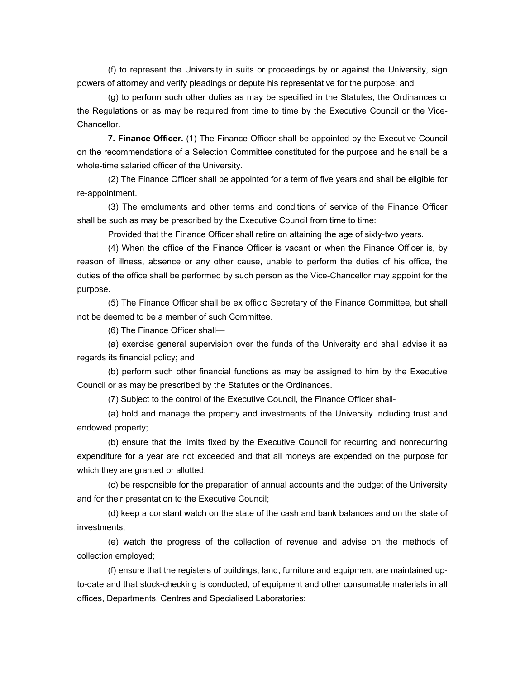(f) to represent the University in suits or proceedings by or against the University, sign powers of attorney and verify pleadings or depute his representative for the purpose; and

(g) to perform such other duties as may be specified in the Statutes, the Ordinances or the Regulations or as may be required from time to time by the Executive Council or the Vice-Chancellor.

**7. Finance Officer.** (1) The Finance Officer shall be appointed by the Executive Council on the recommendations of a Selection Committee constituted for the purpose and he shall be a whole-time salaried officer of the University.

(2) The Finance Officer shall be appointed for a term of five years and shall be eligible for re-appointment.

(3) The emoluments and other terms and conditions of service of the Finance Officer shall be such as may be prescribed by the Executive Council from time to time:

Provided that the Finance Officer shall retire on attaining the age of sixty-two years.

(4) When the office of the Finance Officer is vacant or when the Finance Officer is, by reason of illness, absence or any other cause, unable to perform the duties of his office, the duties of the office shall be performed by such person as the Vice-Chancellor may appoint for the purpose.

(5) The Finance Officer shall be ex officio Secretary of the Finance Committee, but shall not be deemed to be a member of such Committee.

(6) The Finance Officer shall—

(a) exercise general supervision over the funds of the University and shall advise it as regards its financial policy; and

(b) perform such other financial functions as may be assigned to him by the Executive Council or as may be prescribed by the Statutes or the Ordinances.

(7) Subject to the control of the Executive Council, the Finance Officer shall-

(a) hold and manage the property and investments of the University including trust and endowed property;

(b) ensure that the limits fixed by the Executive Council for recurring and nonrecurring expenditure for a year are not exceeded and that all moneys are expended on the purpose for which they are granted or allotted;

(c) be responsible for the preparation of annual accounts and the budget of the University and for their presentation to the Executive Council;

(d) keep a constant watch on the state of the cash and bank balances and on the state of investments;

(e) watch the progress of the collection of revenue and advise on the methods of collection employed;

(f) ensure that the registers of buildings, land, furniture and equipment are maintained upto-date and that stock-checking is conducted, of equipment and other consumable materials in all offices, Departments, Centres and Specialised Laboratories;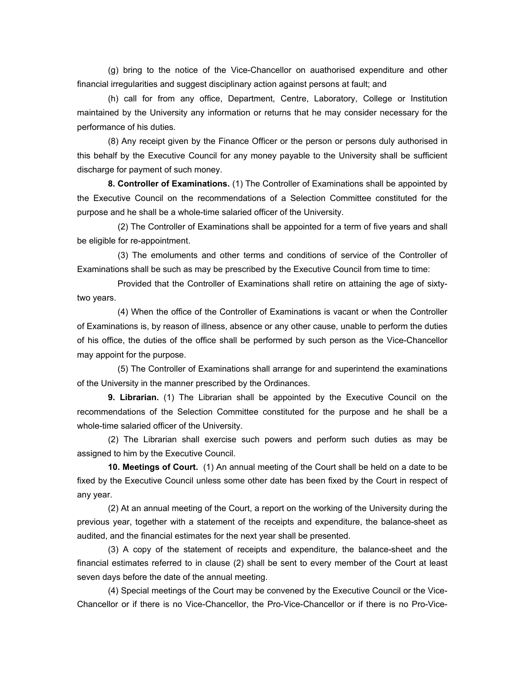(g) bring to the notice of the Vice-Chancellor on auathorised expenditure and other financial irregularities and suggest disciplinary action against persons at fault; and

(h) call for from any office, Department, Centre, Laboratory, College or Institution maintained by the University any information or returns that he may consider necessary for the performance of his duties.

(8) Any receipt given by the Finance Officer or the person or persons duly authorised in this behalf by the Executive Council for any money payable to the University shall be sufficient discharge for payment of such money.

**8. Controller of Examinations.** (1) The Controller of Examinations shall be appointed by the Executive Council on the recommendations of a Selection Committee constituted for the purpose and he shall be a whole-time salaried officer of the University.

 (2) The Controller of Examinations shall be appointed for a term of five years and shall be eligible for re-appointment.

 (3) The emoluments and other terms and conditions of service of the Controller of Examinations shall be such as may be prescribed by the Executive Council from time to time:

 Provided that the Controller of Examinations shall retire on attaining the age of sixtytwo years.

 (4) When the office of the Controller of Examinations is vacant or when the Controller of Examinations is, by reason of illness, absence or any other cause, unable to perform the duties of his office, the duties of the office shall be performed by such person as the Vice-Chancellor may appoint for the purpose.

(5) The Controller of Examinations shall arrange for and superintend the examinations of the University in the manner prescribed by the Ordinances.

**9. Librarian.** (1) The Librarian shall be appointed by the Executive Council on the recommendations of the Selection Committee constituted for the purpose and he shall be a whole-time salaried officer of the University.

(2) The Librarian shall exercise such powers and perform such duties as may be assigned to him by the Executive Council.

**10. Meetings of Court.** (1) An annual meeting of the Court shall be held on a date to be fixed by the Executive Council unless some other date has been fixed by the Court in respect of any year.

(2) At an annual meeting of the Court, a report on the working of the University during the previous year, together with a statement of the receipts and expenditure, the balance-sheet as audited, and the financial estimates for the next year shall be presented.

(3) A copy of the statement of receipts and expenditure, the balance-sheet and the financial estimates referred to in clause (2) shall be sent to every member of the Court at least seven days before the date of the annual meeting.

(4) Special meetings of the Court may be convened by the Executive Council or the Vice-Chancellor or if there is no Vice-Chancellor, the Pro-Vice-Chancellor or if there is no Pro-Vice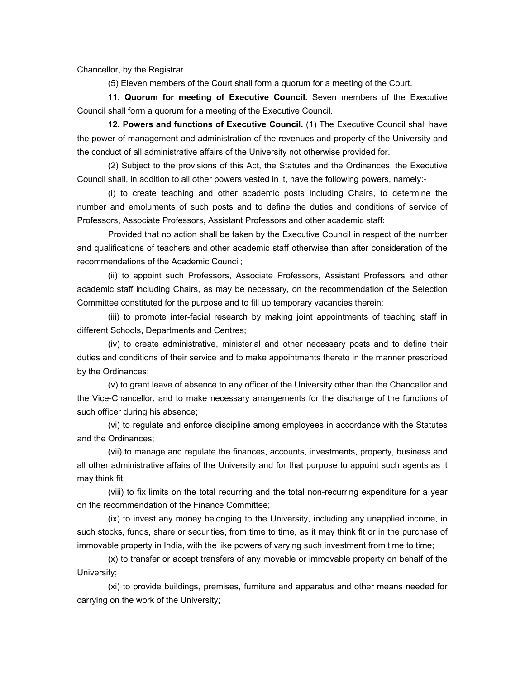Chancellor, by the Registrar.

(5) Eleven members of the Court shall form a quorum for a meeting of the Court.

**11. Quorum for meeting of Executive Council.** Seven members of the Executive Council shall form a quorum for a meeting of the Executive Council.

**12. Powers and functions of Executive Council.** (1) The Executive Council shall have the power of management and administration of the revenues and property of the University and the conduct of all administrative affairs of the University not otherwise provided for.

(2) Subject to the provisions of this Act, the Statutes and the Ordinances, the Executive Council shall, in addition to all other powers vested in it, have the following powers, namely:-

(i) to create teaching and other academic posts including Chairs, to determine the number and emoluments of such posts and to define the duties and conditions of service of Professors, Associate Professors, Assistant Professors and other academic staff:

Provided that no action shall be taken by the Executive Council in respect of the number and qualifications of teachers and other academic staff otherwise than after consideration of the recommendations of the Academic Council;

(ii) to appoint such Professors, Associate Professors, Assistant Professors and other academic staff including Chairs, as may be necessary, on the recommendation of the Selection Committee constituted for the purpose and to fill up temporary vacancies therein;

(iii) to promote inter-facial research by making joint appointments of teaching staff in different Schools, Departments and Centres;

(iv) to create administrative, ministerial and other necessary posts and to define their duties and conditions of their service and to make appointments thereto in the manner prescribed by the Ordinances;

(v) to grant leave of absence to any officer of the University other than the Chancellor and the Vice-Chancellor, and to make necessary arrangements for the discharge of the functions of such officer during his absence;

(vi) to regulate and enforce discipline among employees in accordance with the Statutes and the Ordinances;

(vii) to manage and regulate the finances, accounts, investments, property, business and all other administrative affairs of the University and for that purpose to appoint such agents as it may think fit;

(viii) to fix limits on the total recurring and the total non-recurring expenditure for a year on the recommendation of the Finance Committee;

(ix) to invest any money belonging to the University, including any unapplied income, in such stocks, funds, share or securities, from time to time, as it may think fit or in the purchase of immovable property in India, with the like powers of varying such investment from time to time;

(x) to transfer or accept transfers of any movable or immovable property on behalf of the University;

(xi) to provide buildings, premises, furniture and apparatus and other means needed for carrying on the work of the University;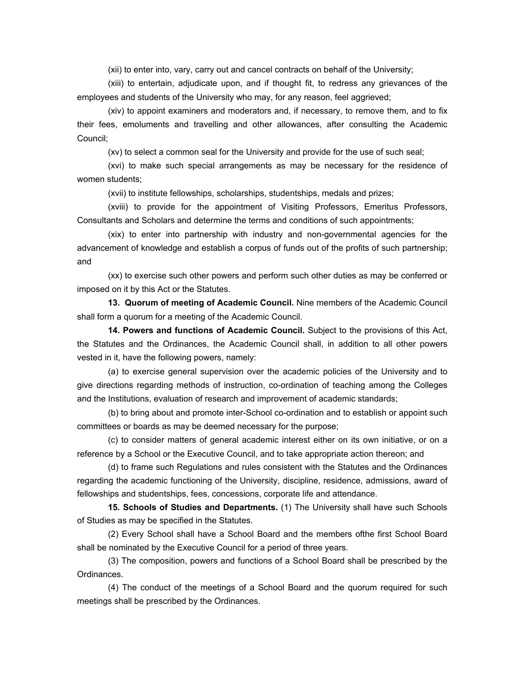(xii) to enter into, vary, carry out and cancel contracts on behalf of the University;

(xiii) to entertain, adjudicate upon, and if thought fit, to redress any grievances of the employees and students of the University who may, for any reason, feel aggrieved;

(xiv) to appoint examiners and moderators and, if necessary, to remove them, and to fix their fees, emoluments and travelling and other allowances, after consulting the Academic Council;

(xv) to select a common seal for the University and provide for the use of such seal;

(xvi) to make such special arrangements as may be necessary for the residence of women students;

(xvii) to institute fellowships, scholarships, studentships, medals and prizes;

(xviii) to provide for the appointment of Visiting Professors, Emeritus Professors, Consultants and Scholars and determine the terms and conditions of such appointments;

(xix) to enter into partnership with industry and non-governmental agencies for the advancement of knowledge and establish a corpus of funds out of the profits of such partnership; and

(xx) to exercise such other powers and perform such other duties as may be conferred or imposed on it by this Act or the Statutes.

**13. Quorum of meeting of Academic Council.** Nine members of the Academic Council shall form a quorum for a meeting of the Academic Council.

**14. Powers and functions of Academic Council.** Subject to the provisions of this Act, the Statutes and the Ordinances, the Academic Council shall, in addition to all other powers vested in it, have the following powers, namely:

(a) to exercise general supervision over the academic policies of the University and to give directions regarding methods of instruction, co-ordination of teaching among the Colleges and the Institutions, evaluation of research and improvement of academic standards;

(b) to bring about and promote inter-School co-ordination and to establish or appoint such committees or boards as may be deemed necessary for the purpose;

(c) to consider matters of general academic interest either on its own initiative, or on a reference by a School or the Executive Council, and to take appropriate action thereon; and

(d) to frame such Regulations and rules consistent with the Statutes and the Ordinances regarding the academic functioning of the University, discipline, residence, admissions, award of fellowships and studentships, fees, concessions, corporate life and attendance.

**15. Schools of Studies and Departments.** (1) The University shall have such Schools of Studies as may be specified in the Statutes.

(2) Every School shall have a School Board and the members ofthe first School Board shall be nominated by the Executive Council for a period of three years.

(3) The composition, powers and functions of a School Board shall be prescribed by the Ordinances.

(4) The conduct of the meetings of a School Board and the quorum required for such meetings shall be prescribed by the Ordinances.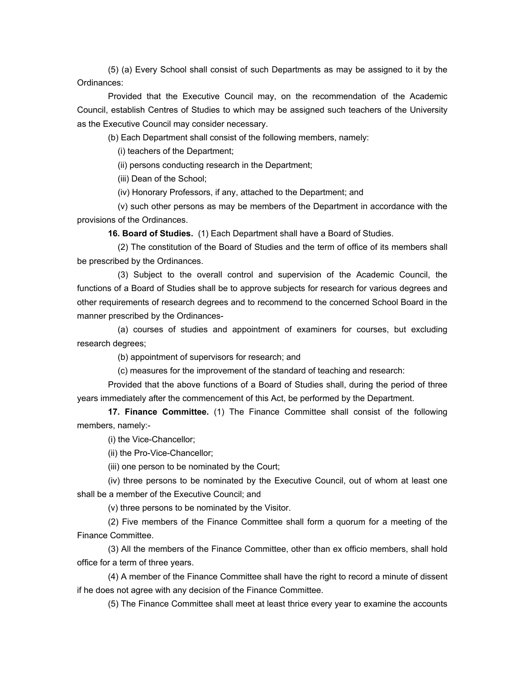(5) (a) Every School shall consist of such Departments as may be assigned to it by the Ordinances:

Provided that the Executive Council may, on the recommendation of the Academic Council, establish Centres of Studies to which may be assigned such teachers of the University as the Executive Council may consider necessary.

(b) Each Department shall consist of the following members, namely:

(i) teachers of the Department;

(ii) persons conducting research in the Department;

(iii) Dean of the School;

(iv) Honorary Professors, if any, attached to the Department; and

 (v) such other persons as may be members of the Department in accordance with the provisions of the Ordinances.

**16. Board of Studies.** (1) Each Department shall have a Board of Studies.

 (2) The constitution of the Board of Studies and the term of office of its members shall be prescribed by the Ordinances.

 (3) Subject to the overall control and supervision of the Academic Council, the functions of a Board of Studies shall be to approve subjects for research for various degrees and other requirements of research degrees and to recommend to the concerned School Board in the manner prescribed by the Ordinances-

 (a) courses of studies and appointment of examiners for courses, but excluding research degrees;

(b) appointment of supervisors for research; and

(c) measures for the improvement of the standard of teaching and research:

Provided that the above functions of a Board of Studies shall, during the period of three years immediately after the commencement of this Act, be performed by the Department.

**17. Finance Committee.** (1) The Finance Committee shall consist of the following members, namely:-

(i) the Vice-Chancellor;

(ii) the Pro-Vice-Chancellor;

(iii) one person to be nominated by the Court;

(iv) three persons to be nominated by the Executive Council, out of whom at least one shall be a member of the Executive Council; and

(v) three persons to be nominated by the Visitor.

(2) Five members of the Finance Committee shall form a quorum for a meeting of the Finance Committee.

(3) All the members of the Finance Committee, other than ex officio members, shall hold office for a term of three years.

(4) A member of the Finance Committee shall have the right to record a minute of dissent if he does not agree with any decision of the Finance Committee.

(5) The Finance Committee shall meet at least thrice every year to examine the accounts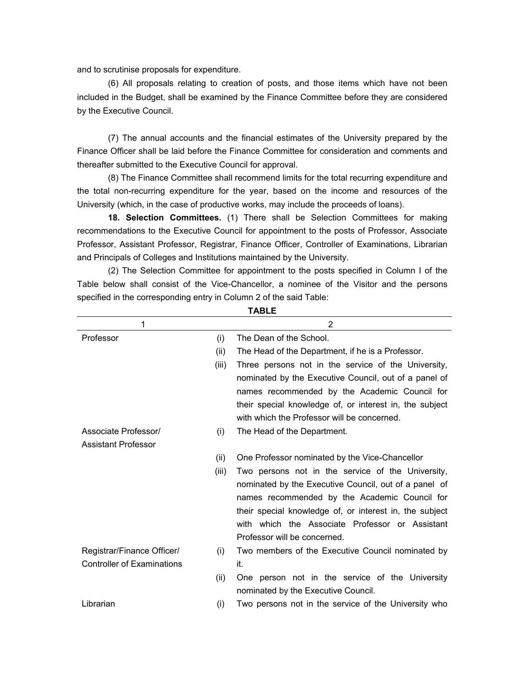and to scrutinise proposals for expenditure.

(6) All proposals relating to creation of posts, and those items which have not been included in the Budget, shall be examined by the Finance Committee before they are considered by the Executive Council.

(7) The annual accounts and the financial estimates of the University prepared by the Finance Officer shall be laid before the Finance Committee for consideration and comments and thereafter submitted to the Executive Council for approval.

(8) The Finance Committee shall recommend limits for the total recurring expenditure and the total non-recurring expenditure for the year, based on the income and resources of the University (which, in the case of productive works, may include the proceeds of loans).

**18. Selection Committees.** (1) There shall be Selection Committees for making recommendations to the Executive Council for appointment to the posts of Professor, Associate Professor, Assistant Professor, Registrar, Finance Officer, Controller of Examinations, Librarian and Principals of Colleges and Institutions maintained by the University.

(2) The Selection Committee for appointment to the posts specified in Column I of the Table below shall consist of the Vice-Chancellor, a nominee of the Visitor and the persons specified in the corresponding entry in Column 2 of the said Table:

| 1                                 |       | 2                                                       |
|-----------------------------------|-------|---------------------------------------------------------|
| Professor                         | (i)   | The Dean of the School.                                 |
|                                   | (ii)  | The Head of the Department, if he is a Professor.       |
|                                   | (iii) | Three persons not in the service of the University,     |
|                                   |       | nominated by the Executive Council, out of a panel of   |
|                                   |       | names recommended by the Academic Council for           |
|                                   |       | their special knowledge of, or interest in, the subject |
|                                   |       | with which the Professor will be concerned.             |
| Associate Professor/              | (i)   | The Head of the Department.                             |
| <b>Assistant Professor</b>        |       |                                                         |
|                                   | (ii)  | One Professor nominated by the Vice-Chancellor          |
|                                   | (iii) | Two persons not in the service of the University,       |
|                                   |       | nominated by the Executive Council, out of a panel of   |
|                                   |       | names recommended by the Academic Council for           |
|                                   |       | their special knowledge of, or interest in, the subject |
|                                   |       | with which the Associate Professor or Assistant         |
|                                   |       | Professor will be concerned.                            |
| Registrar/Finance Officer/        | (i)   | Two members of the Executive Council nominated by       |
| <b>Controller of Examinations</b> |       | it.                                                     |
|                                   | (ii)  | One person not in the service of the University         |
|                                   |       | nominated by the Executive Council.                     |
| Librarian                         | (i)   | Two persons not in the service of the University who    |
|                                   |       |                                                         |

**TABLE**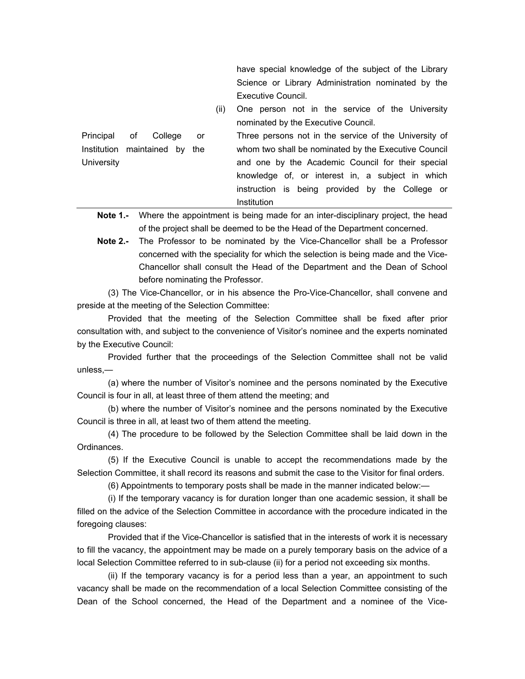have special knowledge of the subject of the Library Science or Library Administration nominated by the Executive Council.

 (ii) One person not in the service of the University nominated by the Executive Council.

Principal of College or Institution maintained by the **University**  Three persons not in the service of the University of whom two shall be nominated by the Executive Council and one by the Academic Council for their special knowledge of, or interest in, a subject in which instruction is being provided by the College or Institution

**Note 1.-** Where the appointment is being made for an inter-disciplinary project, the head of the project shall be deemed to be the Head of the Department concerned.

**Note 2.-** The Professor to be nominated by the Vice-Chancellor shall be a Professor concerned with the speciality for which the selection is being made and the Vice-Chancellor shall consult the Head of the Department and the Dean of School before nominating the Professor.

(3) The Vice-Chancellor, or in his absence the Pro-Vice-Chancellor, shall convene and preside at the meeting of the Selection Committee:

Provided that the meeting of the Selection Committee shall be fixed after prior consultation with, and subject to the convenience of Visitor's nominee and the experts nominated by the Executive Council:

Provided further that the proceedings of the Selection Committee shall not be valid unless,—

(a) where the number of Visitor's nominee and the persons nominated by the Executive Council is four in all, at least three of them attend the meeting; and

(b) where the number of Visitor's nominee and the persons nominated by the Executive Council is three in all, at least two of them attend the meeting.

(4) The procedure to be followed by the Selection Committee shall be laid down in the Ordinances.

(5) If the Executive Council is unable to accept the recommendations made by the Selection Committee, it shall record its reasons and submit the case to the Visitor for final orders.

(6) Appointments to temporary posts shall be made in the manner indicated below:—

(i) If the temporary vacancy is for duration longer than one academic session, it shall be filled on the advice of the Selection Committee in accordance with the procedure indicated in the foregoing clauses:

Provided that if the Vice-Chancellor is satisfied that in the interests of work it is necessary to fill the vacancy, the appointment may be made on a purely temporary basis on the advice of a local Selection Committee referred to in sub-clause (ii) for a period not exceeding six months.

(ii) If the temporary vacancy is for a period less than a year, an appointment to such vacancy shall be made on the recommendation of a local Selection Committee consisting of the Dean of the School concerned, the Head of the Department and a nominee of the Vice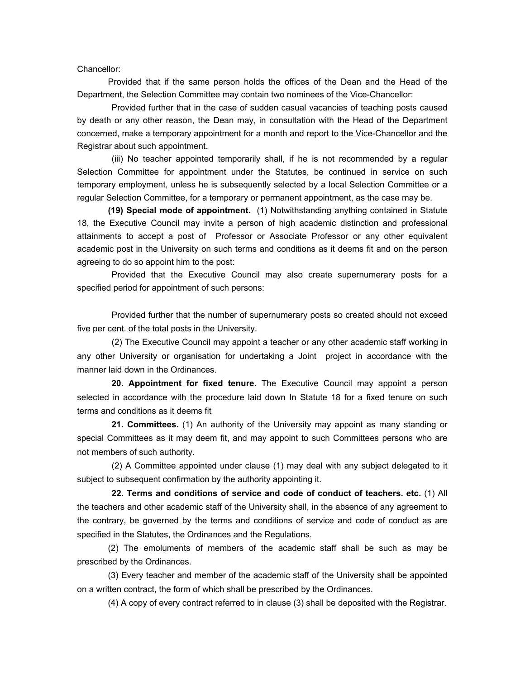Chancellor:

Provided that if the same person holds the offices of the Dean and the Head of the Department, the Selection Committee may contain two nominees of the Vice-Chancellor:

 Provided further that in the case of sudden casual vacancies of teaching posts caused by death or any other reason, the Dean may, in consultation with the Head of the Department concerned, make a temporary appointment for a month and report to the Vice-Chancellor and the Registrar about such appointment.

 (iii) No teacher appointed temporarily shall, if he is not recommended by a regular Selection Committee for appointment under the Statutes, be continued in service on such temporary employment, unless he is subsequently selected by a local Selection Committee or a regular Selection Committee, for a temporary or permanent appointment, as the case may be.

**(19) Special mode of appointment.** (1) Notwithstanding anything contained in Statute 18, the Executive Council may invite a person of high academic distinction and professional attainments to accept a post of Professor or Associate Professor or any other equivalent academic post in the University on such terms and conditions as it deems fit and on the person agreeing to do so appoint him to the post:

 Provided that the Executive Council may also create supernumerary posts for a specified period for appointment of such persons:

 Provided further that the number of supernumerary posts so created should not exceed five per cent. of the total posts in the University.

 (2) The Executive Council may appoint a teacher or any other academic staff working in any other University or organisation for undertaking a Joint project in accordance with the manner laid down in the Ordinances.

**20. Appointment for fixed tenure.** The Executive Council may appoint a person selected in accordance with the procedure laid down In Statute 18 for a fixed tenure on such terms and conditions as it deems fit

**21. Committees.** (1) An authority of the University may appoint as many standing or special Committees as it may deem fit, and may appoint to such Committees persons who are not members of such authority.

 (2) A Committee appointed under clause (1) may deal with any subject delegated to it subject to subsequent confirmation by the authority appointing it.

**22. Terms and conditions of service and code of conduct of teachers. etc.** (1) All the teachers and other academic staff of the University shall, in the absence of any agreement to the contrary, be governed by the terms and conditions of service and code of conduct as are specified in the Statutes, the Ordinances and the Regulations.

(2) The emoluments of members of the academic staff shall be such as may be prescribed by the Ordinances.

(3) Every teacher and member of the academic staff of the University shall be appointed on a written contract, the form of which shall be prescribed by the Ordinances.

(4) A copy of every contract referred to in clause (3) shall be deposited with the Registrar.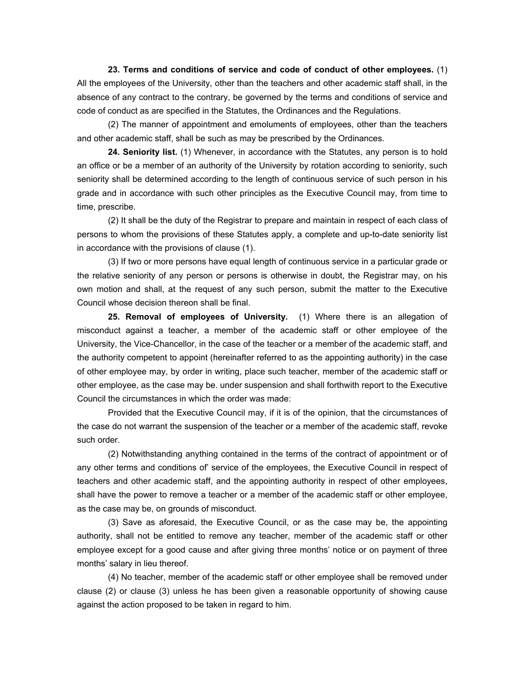**23. Terms and conditions of service and code of conduct of other employees.** (1) All the employees of the University, other than the teachers and other academic staff shall, in the absence of any contract to the contrary, be governed by the terms and conditions of service and code of conduct as are specified in the Statutes, the Ordinances and the Regulations.

(2) The manner of appointment and emoluments of employees, other than the teachers and other academic staff, shall be such as may be prescribed by the Ordinances.

**24. Seniority list.** (1) Whenever, in accordance with the Statutes, any person is to hold an office or be a member of an authority of the University by rotation according to seniority, such seniority shall be determined according to the length of continuous service of such person in his grade and in accordance with such other principles as the Executive Council may, from time to time, prescribe.

(2) It shall be the duty of the Registrar to prepare and maintain in respect of each class of persons to whom the provisions of these Statutes apply, a complete and up-to-date seniority list in accordance with the provisions of clause (1).

(3) If two or more persons have equal length of continuous service in a particular grade or the relative seniority of any person or persons is otherwise in doubt, the Registrar may, on his own motion and shall, at the request of any such person, submit the matter to the Executive Council whose decision thereon shall be final.

**25. Removal of employees of University.** (1) Where there is an allegation of misconduct against a teacher, a member of the academic staff or other employee of the University, the Vice-Chancellor, in the case of the teacher or a member of the academic staff, and the authority competent to appoint (hereinafter referred to as the appointing authority) in the case of other employee may, by order in writing, place such teacher, member of the academic staff or other employee, as the case may be. under suspension and shall forthwith report to the Executive Council the circumstances in which the order was made:

Provided that the Executive Council may, if it is of the opinion, that the circumstances of the case do not warrant the suspension of the teacher or a member of the academic staff, revoke such order.

(2) Notwithstanding anything contained in the terms of the contract of appointment or of any other terms and conditions of' service of the employees, the Executive Council in respect of teachers and other academic staff, and the appointing authority in respect of other employees, shall have the power to remove a teacher or a member of the academic staff or other employee, as the case may be, on grounds of misconduct.

(3) Save as aforesaid, the Executive Council, or as the case may be, the appointing authority, shall not be entitled to remove any teacher, member of the academic staff or other employee except for a good cause and after giving three months' notice or on payment of three months' salary in lieu thereof.

(4) No teacher, member of the academic staff or other employee shall be removed under clause (2) or clause (3) unless he has been given a reasonable opportunity of showing cause against the action proposed to be taken in regard to him.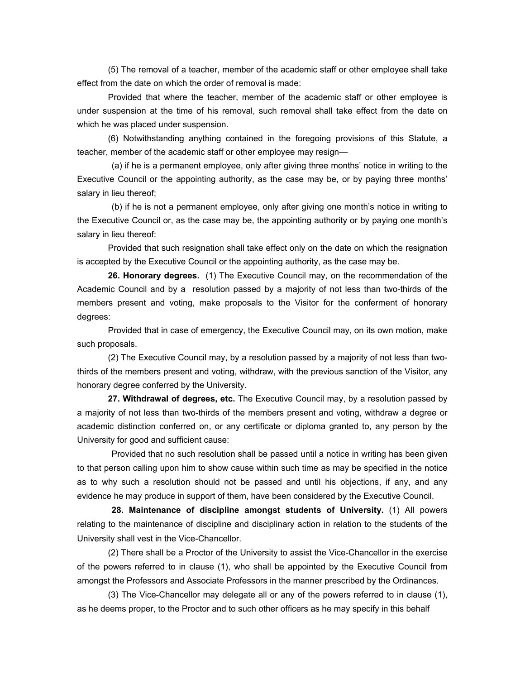(5) The removal of a teacher, member of the academic staff or other employee shall take effect from the date on which the order of removal is made:

Provided that where the teacher, member of the academic staff or other employee is under suspension at the time of his removal, such removal shall take effect from the date on which he was placed under suspension.

(6) Notwithstanding anything contained in the foregoing provisions of this Statute, a teacher, member of the academic staff or other employee may resign—

 (a) if he is a permanent employee, only after giving three months' notice in writing to the Executive Council or the appointing authority, as the case may be, or by paying three months' salary in lieu thereof;

 (b) if he is not a permanent employee, only after giving one month's notice in writing to the Executive Council or, as the case may be, the appointing authority or by paying one month's salary in lieu thereof:

Provided that such resignation shall take effect only on the date on which the resignation is accepted by the Executive Council or the appointing authority, as the case may be.

**26. Honorary degrees.** (1) The Executive Council may, on the recommendation of the Academic Council and by a resolution passed by a majority of not less than two-thirds of the members present and voting, make proposals to the Visitor for the conferment of honorary degrees:

Provided that in case of emergency, the Executive Council may, on its own motion, make such proposals.

(2) The Executive Council may, by a resolution passed by a majority of not less than twothirds of the members present and voting, withdraw, with the previous sanction of the Visitor, any honorary degree conferred by the University.

**27. Withdrawal of degrees, etc.** The Executive Council may, by a resolution passed by a majority of not less than two-thirds of the members present and voting, withdraw a degree or academic distinction conferred on, or any certificate or diploma granted to, any person by the University for good and sufficient cause:

 Provided that no such resolution shall be passed until a notice in writing has been given to that person calling upon him to show cause within such time as may be specified in the notice as to why such a resolution should not be passed and until his objections, if any, and any evidence he may produce in support of them, have been considered by the Executive Council.

**28. Maintenance of discipline amongst students of University.** (1) All powers relating to the maintenance of discipline and disciplinary action in relation to the students of the University shall vest in the Vice-Chancellor.

(2) There shall be a Proctor of the University to assist the Vice-Chancellor in the exercise of the powers referred to in clause (1), who shall be appointed by the Executive Council from amongst the Professors and Associate Professors in the manner prescribed by the Ordinances.

(3) The Vice-Chancellor may delegate all or any of the powers referred to in clause (1), as he deems proper, to the Proctor and to such other officers as he may specify in this behalf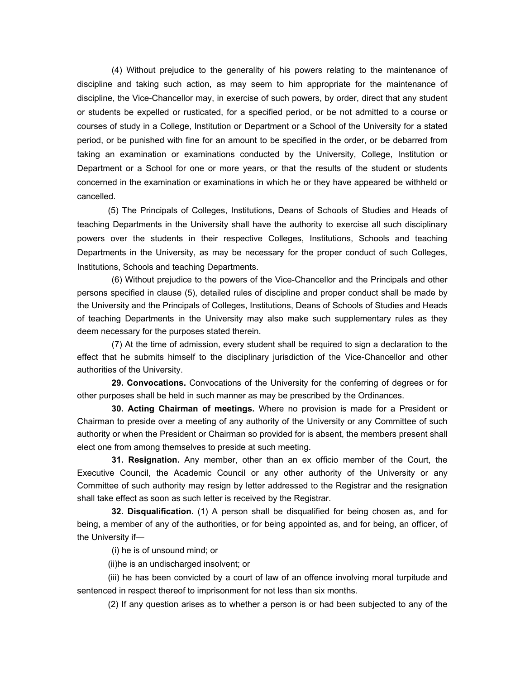(4) Without prejudice to the generality of his powers relating to the maintenance of discipline and taking such action, as may seem to him appropriate for the maintenance of discipline, the Vice-Chancellor may, in exercise of such powers, by order, direct that any student or students be expelled or rusticated, for a specified period, or be not admitted to a course or courses of study in a College, Institution or Department or a School of the University for a stated period, or be punished with fine for an amount to be specified in the order, or be debarred from taking an examination or examinations conducted by the University, College, Institution or Department or a School for one or more years, or that the results of the student or students concerned in the examination or examinations in which he or they have appeared be withheld or cancelled.

(5) The Principals of Colleges, Institutions, Deans of Schools of Studies and Heads of teaching Departments in the University shall have the authority to exercise all such disciplinary powers over the students in their respective Colleges, Institutions, Schools and teaching Departments in the University, as may be necessary for the proper conduct of such Colleges, Institutions, Schools and teaching Departments.

 (6) Without prejudice to the powers of the Vice-Chancellor and the Principals and other persons specified in clause (5), detailed rules of discipline and proper conduct shall be made by the University and the Principals of Colleges, Institutions, Deans of Schools of Studies and Heads of teaching Departments in the University may also make such supplementary rules as they deem necessary for the purposes stated therein.

 (7) At the time of admission, every student shall be required to sign a declaration to the effect that he submits himself to the disciplinary jurisdiction of the Vice-Chancellor and other authorities of the University.

**29. Convocations.** Convocations of the University for the conferring of degrees or for other purposes shall be held in such manner as may be prescribed by the Ordinances.

**30. Acting Chairman of meetings.** Where no provision is made for a President or Chairman to preside over a meeting of any authority of the University or any Committee of such authority or when the President or Chairman so provided for is absent, the members present shall elect one from among themselves to preside at such meeting.

**31. Resignation.** Any member, other than an ex officio member of the Court, the Executive Council, the Academic Council or any other authority of the University or any Committee of such authority may resign by letter addressed to the Registrar and the resignation shall take effect as soon as such letter is received by the Registrar.

**32. Disqualification.** (1) A person shall be disqualified for being chosen as, and for being, a member of any of the authorities, or for being appointed as, and for being, an officer, of the University if—

(i) he is of unsound mind; or

(ii)he is an undischarged insolvent; or

(iii) he has been convicted by a court of law of an offence involving moral turpitude and sentenced in respect thereof to imprisonment for not less than six months.

(2) If any question arises as to whether a person is or had been subjected to any of the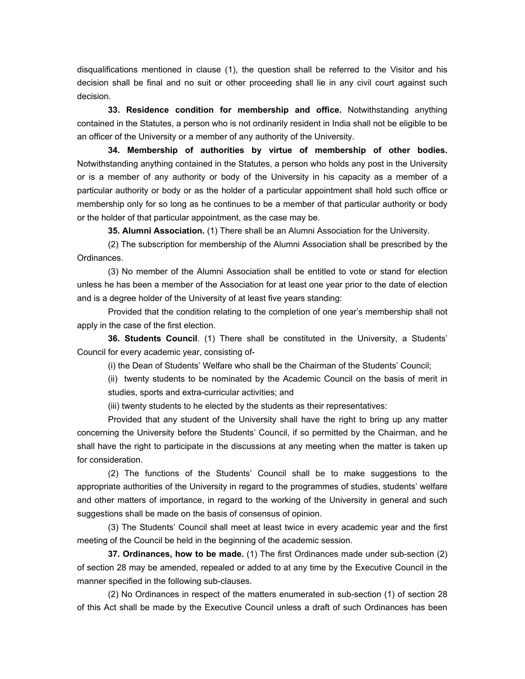disqualifications mentioned in clause (1), the question shall be referred to the Visitor and his decision shall be final and no suit or other proceeding shall lie in any civil court against such decision.

**33. Residence condition for membership and office.** Notwithstanding anything contained in the Statutes, a person who is not ordinarily resident in India shall not be eligible to be an officer of the University or a member of any authority of the University.

**34. Membership of authorities by virtue of membership of other bodies.** Notwithstanding anything contained in the Statutes, a person who holds any post in the University or is a member of any authority or body of the University in his capacity as a member of a particular authority or body or as the holder of a particular appointment shall hold such office or membership only for so long as he continues to be a member of that particular authority or body or the holder of that particular appointment, as the case may be.

**35. Alumni Association.** (1) There shall be an Alumni Association for the University.

(2) The subscription for membership of the Alumni Association shall be prescribed by the Ordinances.

(3) No member of the Alumni Association shall be entitled to vote or stand for election unless he has been a member of the Association for at least one year prior to the date of election and is a degree holder of the University of at least five years standing:

Provided that the condition relating to the completion of one year's membership shall not apply in the case of the first election.

**36. Students Council**. (1) There shall be constituted in the University, a Students' Council for every academic year, consisting of-

(i) the Dean of Students' Welfare who shall be the Chairman of the Students' Council;

(ii) twenty students to be nominated by the Academic Council on the basis of merit in studies, sports and extra-curricular activities; and

(iii) twenty students to he elected by the students as their representatives:

Provided that any student of the University shall have the right to bring up any matter concerning the University before the Students' Council, if so permitted by the Chairman, and he shall have the right to participate in the discussions at any meeting when the matter is taken up for consideration.

(2) The functions of the Students' Council shall be to make suggestions to the appropriate authorities of the University in regard to the programmes of studies, students' welfare and other matters of importance, in regard to the working of the University in general and such suggestions shall be made on the basis of consensus of opinion.

(3) The Students' Council shall meet at least twice in every academic year and the first meeting of the Council be held in the beginning of the academic session.

**37. Ordinances, how to be made.** (1) The first Ordinances made under sub-section (2) of section 28 may be amended, repealed or added to at any time by the Executive Council in the manner specified in the following sub-clauses.

(2) No Ordinances in respect of the matters enumerated in sub-section (1) of section 28 of this Act shall be made by the Executive Council unless a draft of such Ordinances has been